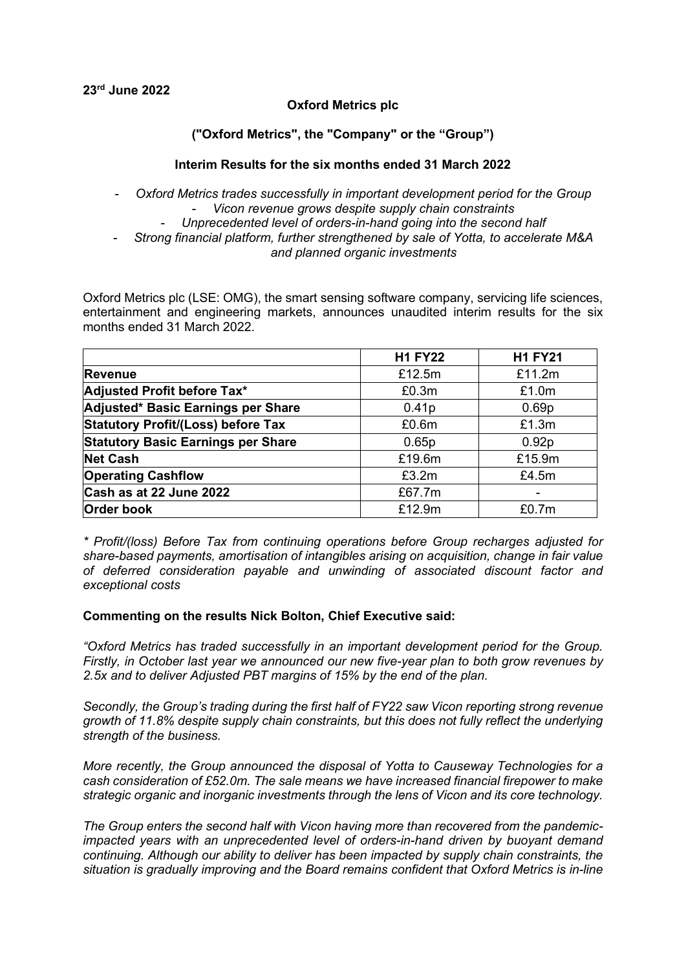### **Oxford Metrics plc**

### **("Oxford Metrics", the "Company" or the "Group")**

### **Interim Results for the six months ended 31 March 2022**

- *Oxford Metrics trades successfully in important development period for the Group*  - *Vicon revenue grows despite supply chain constraints*  - *Unprecedented level of orders-in-hand going into the second half* - *Strong financial platform, further strengthened by sale of Yotta, to accelerate M&A* 

*and planned organic investments*

Oxford Metrics plc (LSE: OMG), the smart sensing software company, servicing life sciences, entertainment and engineering markets, announces unaudited interim results for the six months ended 31 March 2022.

|                                           | <b>H1 FY22</b>    | <b>H1 FY21</b>    |
|-------------------------------------------|-------------------|-------------------|
| <b>Revenue</b>                            | £12.5m            | £11.2m            |
| Adjusted Profit before Tax*               | £0.3m             | £1.0m             |
| Adjusted* Basic Earnings per Share        | 0.41 <sub>p</sub> | 0.69 <sub>p</sub> |
| <b>Statutory Profit/(Loss) before Tax</b> | £0.6m             | £1.3m             |
| <b>Statutory Basic Earnings per Share</b> | 0.65p             | 0.92 <sub>p</sub> |
| <b>Net Cash</b>                           | £19.6m            | £15.9m            |
| <b>Operating Cashflow</b>                 | £3.2m             | £4.5m             |
| Cash as at 22 June 2022                   | £67.7m            |                   |
| <b>Order book</b>                         | £12.9m            | £0.7m             |

*\* Profit/(loss) Before Tax from continuing operations before Group recharges adjusted for share-based payments, amortisation of intangibles arising on acquisition, change in fair value of deferred consideration payable and unwinding of associated discount factor and exceptional costs*

#### **Commenting on the results Nick Bolton, Chief Executive said:**

*"Oxford Metrics has traded successfully in an important development period for the Group. Firstly, in October last year we announced our new five-year plan to both grow revenues by 2.5x and to deliver Adjusted PBT margins of 15% by the end of the plan.*

*Secondly, the Group's trading during the first half of FY22 saw Vicon reporting strong revenue growth of 11.8% despite supply chain constraints, but this does not fully reflect the underlying strength of the business.* 

*More recently, the Group announced the disposal of Yotta to Causeway Technologies for a cash consideration of £52.0m. The sale means we have increased financial firepower to make strategic organic and inorganic investments through the lens of Vicon and its core technology.* 

*The Group enters the second half with Vicon having more than recovered from the pandemicimpacted years with an unprecedented level of orders-in-hand driven by buoyant demand continuing. Although our ability to deliver has been impacted by supply chain constraints, the situation is gradually improving and the Board remains confident that Oxford Metrics is in-line*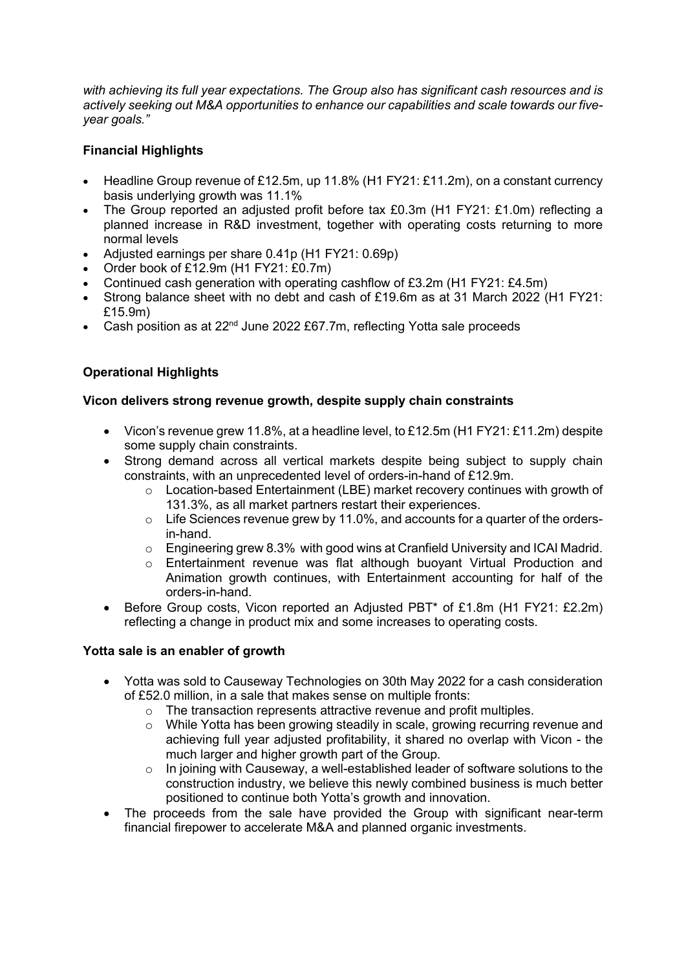*with achieving its full year expectations. The Group also has significant cash resources and is actively seeking out M&A opportunities to enhance our capabilities and scale towards our fiveyear goals."*

## **Financial Highlights**

- Headline Group revenue of £12.5m, up 11.8% (H1 FY21: £11.2m), on a constant currency basis underlying growth was 11.1%
- The Group reported an adjusted profit before tax £0.3m (H1 FY21: £1.0m) reflecting a planned increase in R&D investment, together with operating costs returning to more normal levels
- Adjusted earnings per share 0.41p (H1 FY21: 0.69p)
- Order book of £12.9m (H1 FY21: £0.7m)
- Continued cash generation with operating cashflow of £3.2m (H1 FY21: £4.5m)
- Strong balance sheet with no debt and cash of £19.6m as at 31 March 2022 (H1 FY21: £15.9m)
- Cash position as at 22<sup>nd</sup> June 2022 £67.7m, reflecting Yotta sale proceeds

## **Operational Highlights**

### **Vicon delivers strong revenue growth, despite supply chain constraints**

- Vicon's revenue grew 11.8%, at a headline level, to £12.5m (H1 FY21: £11.2m) despite some supply chain constraints.
- Strong demand across all vertical markets despite being subject to supply chain constraints, with an unprecedented level of orders-in-hand of £12.9m.
	- o Location-based Entertainment (LBE) market recovery continues with growth of 131.3%, as all market partners restart their experiences.
	- o Life Sciences revenue grew by 11.0%, and accounts for a quarter of the ordersin-hand.
	- o Engineering grew 8.3% with good wins at Cranfield University and ICAI Madrid.
	- $\circ$  Entertainment revenue was flat although buoyant Virtual Production and Animation growth continues, with Entertainment accounting for half of the orders-in-hand.
- Before Group costs, Vicon reported an Adjusted PBT\* of £1.8m (H1 FY21: £2.2m) reflecting a change in product mix and some increases to operating costs.

### **Yotta sale is an enabler of growth**

- Yotta was sold to Causeway Technologies on 30th May 2022 for a cash consideration of £52.0 million, in a sale that makes sense on multiple fronts:
	- o The transaction represents attractive revenue and profit multiples.
	- o While Yotta has been growing steadily in scale, growing recurring revenue and achieving full year adjusted profitability, it shared no overlap with Vicon - the much larger and higher growth part of the Group.
	- $\circ$  In joining with Causeway, a well-established leader of software solutions to the construction industry, we believe this newly combined business is much better positioned to continue both Yotta's growth and innovation.
- The proceeds from the sale have provided the Group with significant near-term financial firepower to accelerate M&A and planned organic investments.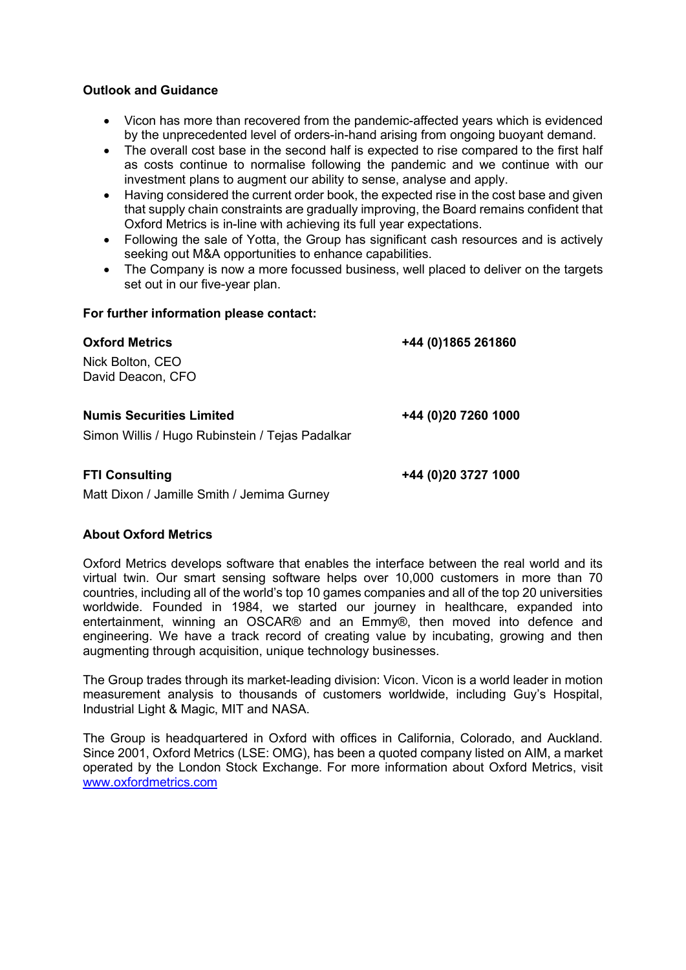#### **Outlook and Guidance**

- Vicon has more than recovered from the pandemic-affected years which is evidenced by the unprecedented level of orders-in-hand arising from ongoing buoyant demand.
- The overall cost base in the second half is expected to rise compared to the first half as costs continue to normalise following the pandemic and we continue with our investment plans to augment our ability to sense, analyse and apply.
- Having considered the current order book, the expected rise in the cost base and given that supply chain constraints are gradually improving, the Board remains confident that Oxford Metrics is in-line with achieving its full year expectations.
- Following the sale of Yotta, the Group has significant cash resources and is actively seeking out M&A opportunities to enhance capabilities.
- The Company is now a more focussed business, well placed to deliver on the targets set out in our five-year plan.

### **For further information please contact:**

| <b>Oxford Metrics</b>                           | +44 (0) 1865 261860 |
|-------------------------------------------------|---------------------|
| Nick Bolton, CEO<br>David Deacon, CFO           |                     |
| <b>Numis Securities Limited</b>                 | +44 (0)20 7260 1000 |
| Simon Willis / Hugo Rubinstein / Tejas Padalkar |                     |

# **FTI Consulting +44 (0)20 3727 1000**

Matt Dixon / Jamille Smith / Jemima Gurney

### **About Oxford Metrics**

Oxford Metrics develops software that enables the interface between the real world and its virtual twin. Our smart sensing software helps over 10,000 customers in more than 70 countries, including all of the world's top 10 games companies and all of the top 20 universities worldwide. Founded in 1984, we started our journey in healthcare, expanded into entertainment, winning an OSCAR® and an Emmy®, then moved into defence and engineering. We have a track record of creating value by incubating, growing and then augmenting through acquisition, unique technology businesses.

The Group trades through its market-leading division: Vicon. Vicon is a world leader in motion measurement analysis to thousands of customers worldwide, including Guy's Hospital, Industrial Light & Magic, MIT and NASA.

The Group is headquartered in Oxford with offices in California, Colorado, and Auckland. Since 2001, Oxford Metrics (LSE: OMG), has been a quoted company listed on AIM, a market operated by the London Stock Exchange. For more information about Oxford Metrics, visit [www.oxfordmetrics.com](http://www.oxfordmetrics.com/)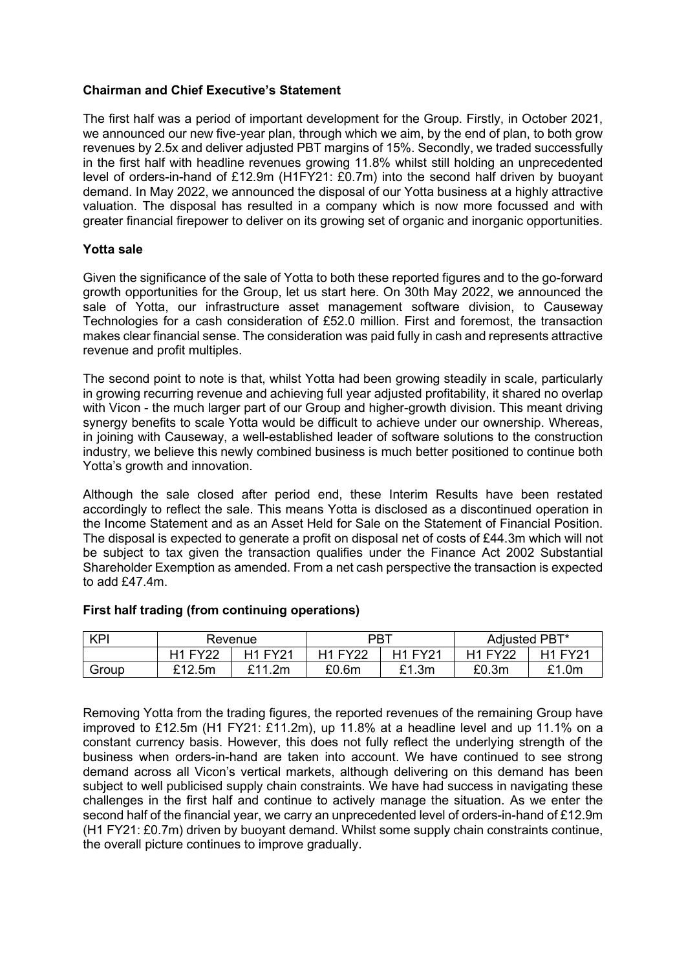#### **Chairman and Chief Executive's Statement**

The first half was a period of important development for the Group. Firstly, in October 2021, we announced our new five-year plan, through which we aim, by the end of plan, to both grow revenues by 2.5x and deliver adjusted PBT margins of 15%. Secondly, we traded successfully in the first half with headline revenues growing 11.8% whilst still holding an unprecedented level of orders-in-hand of £12.9m (H1FY21: £0.7m) into the second half driven by buoyant demand. In May 2022, we announced the disposal of our Yotta business at a highly attractive valuation. The disposal has resulted in a company which is now more focussed and with greater financial firepower to deliver on its growing set of organic and inorganic opportunities.

#### **Yotta sale**

Given the significance of the sale of Yotta to both these reported figures and to the go-forward growth opportunities for the Group, let us start here. On 30th May 2022, we announced the sale of Yotta, our infrastructure asset management software division, to Causeway Technologies for a cash consideration of £52.0 million. First and foremost, the transaction makes clear financial sense. The consideration was paid fully in cash and represents attractive revenue and profit multiples.

The second point to note is that, whilst Yotta had been growing steadily in scale, particularly in growing recurring revenue and achieving full year adjusted profitability, it shared no overlap with Vicon - the much larger part of our Group and higher-growth division. This meant driving synergy benefits to scale Yotta would be difficult to achieve under our ownership. Whereas, in joining with Causeway, a well-established leader of software solutions to the construction industry, we believe this newly combined business is much better positioned to continue both Yotta's growth and innovation.

Although the sale closed after period end, these Interim Results have been restated accordingly to reflect the sale. This means Yotta is disclosed as a discontinued operation in the Income Statement and as an Asset Held for Sale on the Statement of Financial Position. The disposal is expected to generate a profit on disposal net of costs of £44.3m which will not be subject to tax given the transaction qualifies under the Finance Act 2002 Substantial Shareholder Exemption as amended. From a net cash perspective the transaction is expected to add £47.4m.

| <b>KPI</b> | Revenue      |                | <b>PBT</b>     |                | Adjusted PBT* |       |
|------------|--------------|----------------|----------------|----------------|---------------|-------|
|            | $H1$ FV $22$ | <b>H1 FY21</b> | <b>H1 FY22</b> | <b>H1 EV21</b> | $H1$ FV $22$  | EV21  |
| Group      | £12.5m       | £11.2m         | £0.6m          | £1.3m          | £0.3m         | £1.0m |

### **First half trading (from continuing operations)**

Removing Yotta from the trading figures, the reported revenues of the remaining Group have improved to £12.5m (H1 FY21: £11.2m), up 11.8% at a headline level and up 11.1% on a constant currency basis. However, this does not fully reflect the underlying strength of the business when orders-in-hand are taken into account. We have continued to see strong demand across all Vicon's vertical markets, although delivering on this demand has been subject to well publicised supply chain constraints. We have had success in navigating these challenges in the first half and continue to actively manage the situation. As we enter the second half of the financial year, we carry an unprecedented level of orders-in-hand of £12.9m (H1 FY21: £0.7m) driven by buoyant demand. Whilst some supply chain constraints continue, the overall picture continues to improve gradually.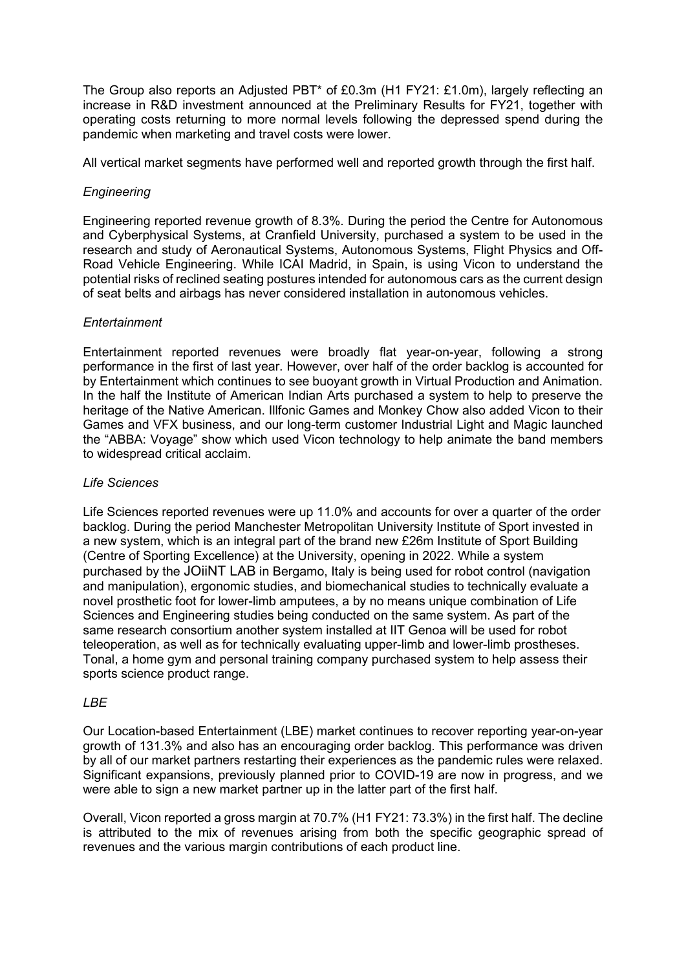The Group also reports an Adjusted PBT\* of £0.3m (H1 FY21: £1.0m), largely reflecting an increase in R&D investment announced at the Preliminary Results for FY21, together with operating costs returning to more normal levels following the depressed spend during the pandemic when marketing and travel costs were lower.

All vertical market segments have performed well and reported growth through the first half.

### *Engineering*

Engineering reported revenue growth of 8.3%. During the period the Centre for Autonomous and Cyberphysical Systems, at Cranfield University, purchased a system to be used in the research and study of Aeronautical Systems, Autonomous Systems, Flight Physics and Off-Road Vehicle Engineering. While ICAI Madrid, in Spain, is using Vicon to understand the potential risks of reclined seating postures intended for autonomous cars as the current design of seat belts and airbags has never considered installation in autonomous vehicles.

#### *Entertainment*

Entertainment reported revenues were broadly flat year-on-year, following a strong performance in the first of last year. However, over half of the order backlog is accounted for by Entertainment which continues to see buoyant growth in Virtual Production and Animation. In the half the Institute of American Indian Arts purchased a system to help to preserve the heritage of the Native American. Illfonic Games and Monkey Chow also added Vicon to their Games and VFX business, and our long-term customer Industrial Light and Magic launched the "ABBA: Voyage" show which used Vicon technology to help animate the band members to widespread critical acclaim.

### *Life Sciences*

Life Sciences reported revenues were up 11.0% and accounts for over a quarter of the order backlog. During the period Manchester Metropolitan University Institute of Sport invested in a new system, which is an integral part of the brand new £26m Institute of Sport Building (Centre of Sporting Excellence) at the University, opening in 2022. While a system purchased by the [JOiiNT LAB](https://eu-west-1.protection.sophos.com/?d=joiintlab.com&u=aHR0cHM6Ly93d3cuam9paW50bGFiLmNvbS8=&i=NTUxMTU3ZWFlNGIwNmI0MGYxNWM1OTZh&t=RXJ2cDJ1QUx3bmZtNmVzYWR6ZzRXdFBCa3RWSG00YUl0TnRqVEovSXhsaz0=&h=aff50359978449c79690b144da8e3577) in Bergamo, Italy is being used for robot control (navigation and manipulation), ergonomic studies, and biomechanical studies to technically evaluate a novel prosthetic foot for lower-limb amputees, a by no means unique combination of Life Sciences and Engineering studies being conducted on the same system. As part of the same research consortium another system installed at IIT Genoa will be used for robot teleoperation, as well as for technically evaluating upper-limb and lower-limb prostheses. Tonal, a home gym and personal training company purchased system to help assess their sports science product range.

### *LBE*

Our Location-based Entertainment (LBE) market continues to recover reporting year-on-year growth of 131.3% and also has an encouraging order backlog. This performance was driven by all of our market partners restarting their experiences as the pandemic rules were relaxed. Significant expansions, previously planned prior to COVID-19 are now in progress, and we were able to sign a new market partner up in the latter part of the first half.

Overall, Vicon reported a gross margin at 70.7% (H1 FY21: 73.3%) in the first half. The decline is attributed to the mix of revenues arising from both the specific geographic spread of revenues and the various margin contributions of each product line.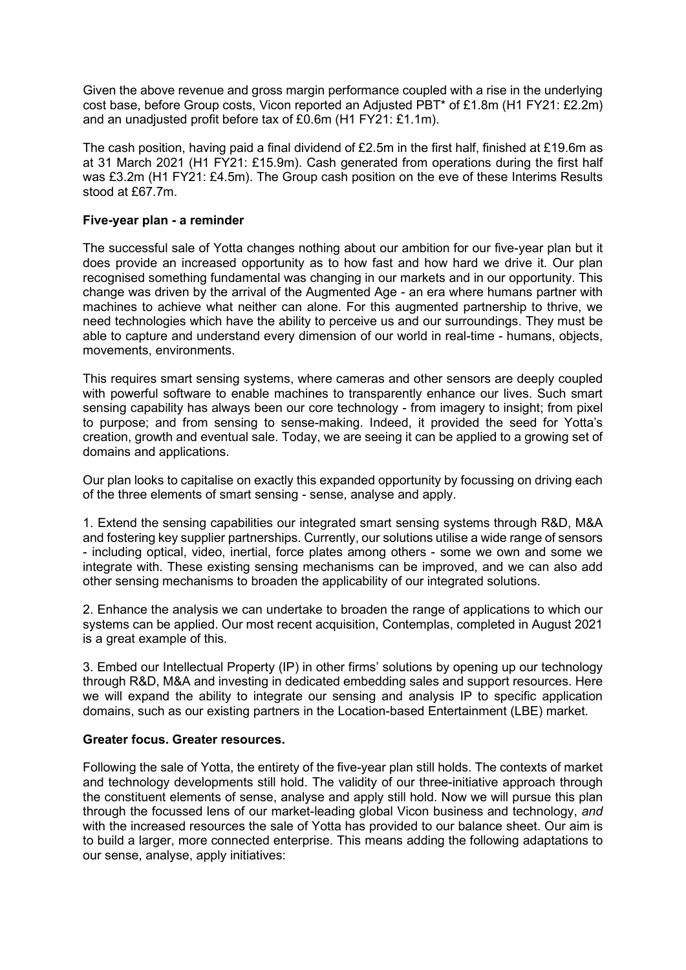Given the above revenue and gross margin performance coupled with a rise in the underlying cost base, before Group costs, Vicon reported an Adjusted PBT\* of £1.8m (H1 FY21: £2.2m) and an unadjusted profit before tax of £0.6m (H1 FY21: £1.1m).

The cash position, having paid a final dividend of £2.5m in the first half, finished at £19.6m as at 31 March 2021 (H1 FY21: £15.9m). Cash generated from operations during the first half was £3.2m (H1 FY21: £4.5m). The Group cash position on the eve of these Interims Results stood at £67.7m.

### **Five-year plan - a reminder**

The successful sale of Yotta changes nothing about our ambition for our five-year plan but it does provide an increased opportunity as to how fast and how hard we drive it. Our plan recognised something fundamental was changing in our markets and in our opportunity. This change was driven by the arrival of the Augmented Age - an era where humans partner with machines to achieve what neither can alone. For this augmented partnership to thrive, we need technologies which have the ability to perceive us and our surroundings. They must be able to capture and understand every dimension of our world in real-time - humans, objects, movements, environments.

This requires smart sensing systems, where cameras and other sensors are deeply coupled with powerful software to enable machines to transparently enhance our lives. Such smart sensing capability has always been our core technology - from imagery to insight; from pixel to purpose; and from sensing to sense-making. Indeed, it provided the seed for Yotta's creation, growth and eventual sale. Today, we are seeing it can be applied to a growing set of domains and applications.

Our plan looks to capitalise on exactly this expanded opportunity by focussing on driving each of the three elements of smart sensing - sense, analyse and apply.

1. Extend the sensing capabilities our integrated smart sensing systems through R&D, M&A and fostering key supplier partnerships. Currently, our solutions utilise a wide range of sensors - including optical, video, inertial, force plates among others - some we own and some we integrate with. These existing sensing mechanisms can be improved, and we can also add other sensing mechanisms to broaden the applicability of our integrated solutions.

2. Enhance the analysis we can undertake to broaden the range of applications to which our systems can be applied. Our most recent acquisition, Contemplas, completed in August 2021 is a great example of this.

3. Embed our Intellectual Property (IP) in other firms' solutions by opening up our technology through R&D, M&A and investing in dedicated embedding sales and support resources. Here we will expand the ability to integrate our sensing and analysis IP to specific application domains, such as our existing partners in the Location-based Entertainment (LBE) market.

### **Greater focus. Greater resources.**

Following the sale of Yotta, the entirety of the five-year plan still holds. The contexts of market and technology developments still hold. The validity of our three-initiative approach through the constituent elements of sense, analyse and apply still hold. Now we will pursue this plan through the focussed lens of our market-leading global Vicon business and technology, *and* with the increased resources the sale of Yotta has provided to our balance sheet. Our aim is to build a larger, more connected enterprise. This means adding the following adaptations to our sense, analyse, apply initiatives: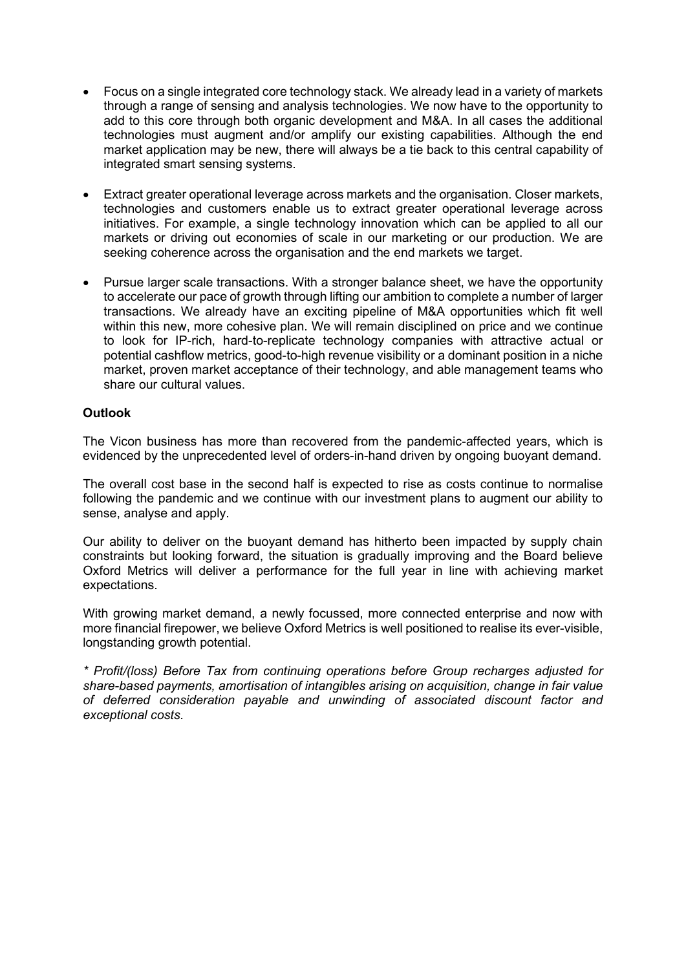- Focus on a single integrated core technology stack. We already lead in a variety of markets through a range of sensing and analysis technologies. We now have to the opportunity to add to this core through both organic development and M&A. In all cases the additional technologies must augment and/or amplify our existing capabilities. Although the end market application may be new, there will always be a tie back to this central capability of integrated smart sensing systems.
- Extract greater operational leverage across markets and the organisation. Closer markets, technologies and customers enable us to extract greater operational leverage across initiatives. For example, a single technology innovation which can be applied to all our markets or driving out economies of scale in our marketing or our production. We are seeking coherence across the organisation and the end markets we target.
- Pursue larger scale transactions. With a stronger balance sheet, we have the opportunity to accelerate our pace of growth through lifting our ambition to complete a number of larger transactions. We already have an exciting pipeline of M&A opportunities which fit well within this new, more cohesive plan. We will remain disciplined on price and we continue to look for IP-rich, hard-to-replicate technology companies with attractive actual or potential cashflow metrics, good-to-high revenue visibility or a dominant position in a niche market, proven market acceptance of their technology, and able management teams who share our cultural values.

### **Outlook**

The Vicon business has more than recovered from the pandemic-affected years, which is evidenced by the unprecedented level of orders-in-hand driven by ongoing buoyant demand.

The overall cost base in the second half is expected to rise as costs continue to normalise following the pandemic and we continue with our investment plans to augment our ability to sense, analyse and apply.

Our ability to deliver on the buoyant demand has hitherto been impacted by supply chain constraints but looking forward, the situation is gradually improving and the Board believe Oxford Metrics will deliver a performance for the full year in line with achieving market expectations.

With growing market demand, a newly focussed, more connected enterprise and now with more financial firepower, we believe Oxford Metrics is well positioned to realise its ever-visible, longstanding growth potential.

*\* Profit/(loss) Before Tax from continuing operations before Group recharges adjusted for share-based payments, amortisation of intangibles arising on acquisition, change in fair value of deferred consideration payable and unwinding of associated discount factor and exceptional costs.*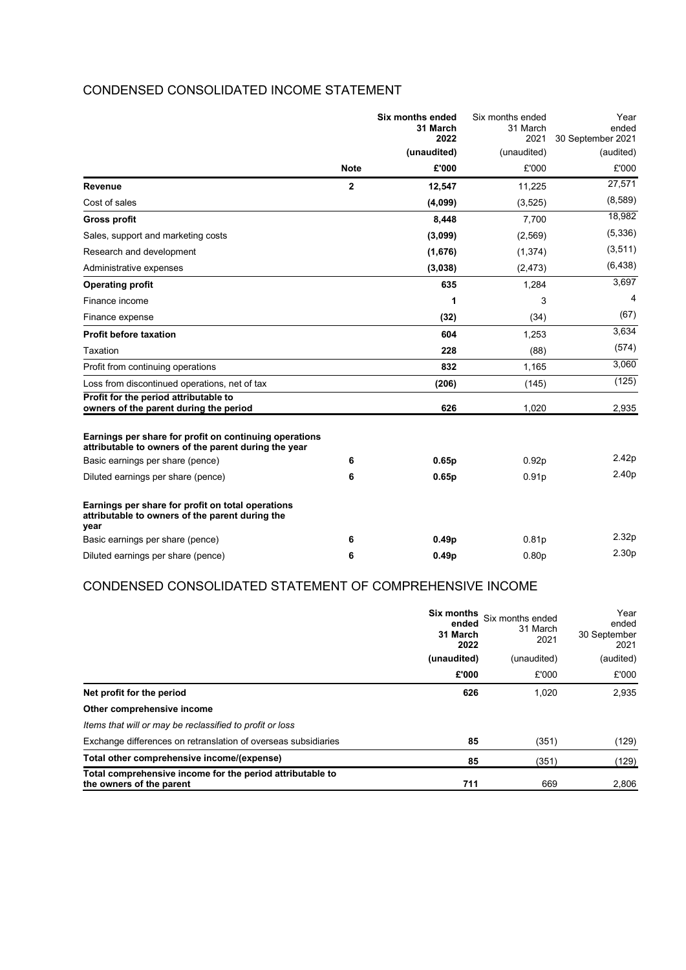## CONDENSED CONSOLIDATED INCOME STATEMENT

|                                                                                                                |             | <b>Six months ended</b><br>31 March<br>2022 | Six months ended<br>31 March<br>2021 | Year<br>ended<br>30 September 2021 |           |
|----------------------------------------------------------------------------------------------------------------|-------------|---------------------------------------------|--------------------------------------|------------------------------------|-----------|
|                                                                                                                |             |                                             | (unaudited)                          | (unaudited)                        | (audited) |
|                                                                                                                | <b>Note</b> | £'000                                       | £'000                                | £'000                              |           |
| Revenue                                                                                                        | $\mathbf 2$ | 12,547                                      | 11,225                               | 27,571                             |           |
| Cost of sales                                                                                                  |             | (4,099)                                     | (3, 525)                             | (8,589)                            |           |
| <b>Gross profit</b>                                                                                            |             | 8,448                                       | 7,700                                | 18,982                             |           |
| Sales, support and marketing costs                                                                             |             | (3,099)                                     | (2,569)                              | (5,336)                            |           |
| Research and development                                                                                       |             | (1,676)                                     | (1, 374)                             | (3,511)                            |           |
| Administrative expenses                                                                                        |             | (3,038)                                     | (2, 473)                             | (6, 438)                           |           |
| <b>Operating profit</b>                                                                                        |             | 635                                         | 1,284                                | 3,697                              |           |
| Finance income                                                                                                 |             | 1                                           | 3                                    | 4                                  |           |
| Finance expense                                                                                                |             | (32)                                        | (34)                                 | (67)                               |           |
| <b>Profit before taxation</b>                                                                                  |             | 604                                         | 1,253                                | 3,634                              |           |
| Taxation                                                                                                       |             | 228                                         | (88)                                 | (574)                              |           |
| Profit from continuing operations                                                                              |             | 832                                         | 1,165                                | 3,060                              |           |
| Loss from discontinued operations, net of tax                                                                  |             | (206)                                       | (145)                                | (125)                              |           |
| Profit for the period attributable to<br>owners of the parent during the period                                |             | 626                                         | 1,020                                | 2,935                              |           |
| Earnings per share for profit on continuing operations<br>attributable to owners of the parent during the year |             |                                             |                                      |                                    |           |
| Basic earnings per share (pence)                                                                               | 6           | 0.65p                                       | 0.92p                                | 2.42p                              |           |
| Diluted earnings per share (pence)                                                                             | 6           | 0.65p                                       | 0.91 <sub>p</sub>                    | 2.40p                              |           |
| Earnings per share for profit on total operations<br>attributable to owners of the parent during the<br>year   |             |                                             |                                      |                                    |           |
| Basic earnings per share (pence)                                                                               | 6           | 0.49 <sub>p</sub>                           | 0.81 <sub>p</sub>                    | 2.32p                              |           |
| Diluted earnings per share (pence)                                                                             | 6           | 0.49 <sub>p</sub>                           | 0.80 <sub>p</sub>                    | 2.30p                              |           |

## CONDENSED CONSOLIDATED STATEMENT OF COMPREHENSIVE INCOME

|                                                                                       | Six months<br>ended<br>31 March<br>2022<br>(unaudited) | Six months ended<br>31 March<br>2021 | Year<br>ended<br>30 September<br>2021<br>(audited) |
|---------------------------------------------------------------------------------------|--------------------------------------------------------|--------------------------------------|----------------------------------------------------|
|                                                                                       |                                                        | (unaudited)                          |                                                    |
|                                                                                       | £'000                                                  | £'000                                | £'000                                              |
| Net profit for the period                                                             | 626                                                    | 1,020                                | 2,935                                              |
| Other comprehensive income                                                            |                                                        |                                      |                                                    |
| Items that will or may be reclassified to profit or loss                              |                                                        |                                      |                                                    |
| Exchange differences on retranslation of overseas subsidiaries                        | 85                                                     | (351)                                | (129)                                              |
| Total other comprehensive income/(expense)                                            | 85                                                     | (351)                                | (129)                                              |
| Total comprehensive income for the period attributable to<br>the owners of the parent | 711                                                    | 669                                  | 2,806                                              |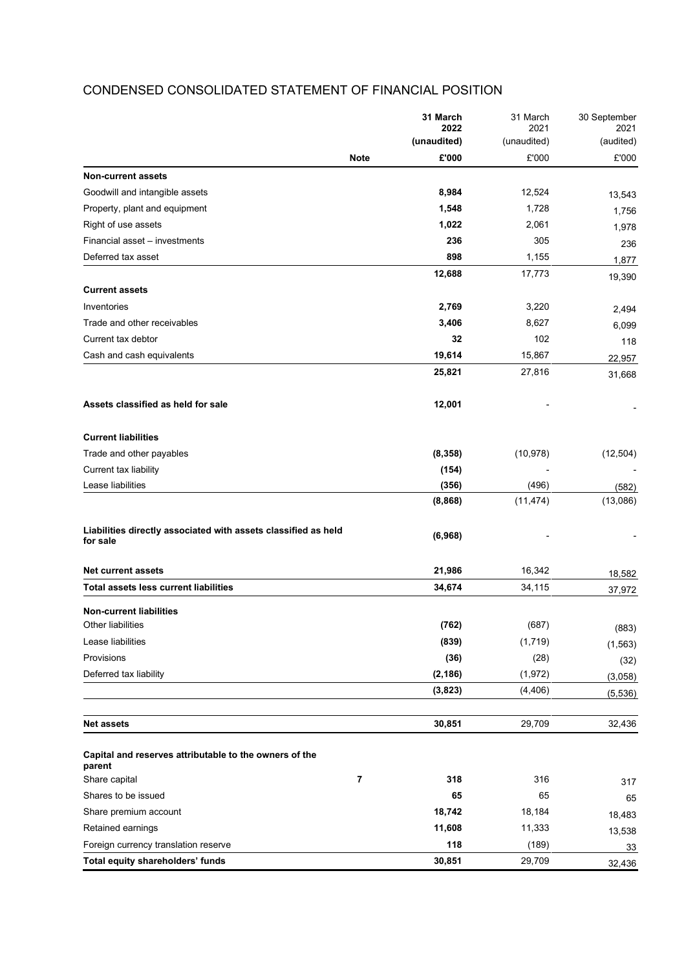## **31 March 2022** 31 March 2021 30 September 2021 **(unaudited)** (unaudited) (audited) **Note £'000** £'000 £'000 **Non-current assets** Goodwill and intangible assets **8,984** 12,524 13,543<br>Property, plant and equipment 1756 Property, plant and equipment **1,756 1,756 1,756 1,756** Right of use assets **1,022** 2,061 1,978 Financial asset – investments **236** 305 236 Deferred tax asset **898** 1,155 1,877 **12,688** 17,773 19,390 **Current assets** Inventories **2,769** 3,220 2,494 Trade and other receivables **3,406** 8,627 6,099<br>
Current tax debtor **32** 102 118 Current tax debtor **32** 102 118 Cash and cash equivalents **19,614** 15,867 22,957 **25,821** 27,816 31,668 **Assets classified as held for sale 12,001** - - **Current liabilities** Trade and other payables **(8,358)** (10,978) (12,504) Current tax liability **(154)** -  $(154)$ Lease liabilities **(356)** (496) (582) **(8,868)** (11,474) (13,086) **Liabilities directly associated with assets classified as held for sale (6,968)** - - **Net current assets 21,986** 16,342 18,582 **Total assets less current liabilities 34,674** 34,115 37,972 **Non-current liabilities** Other liabilities **(762)** (687) (883) Lease liabilities **(839)** (1,719) (1,563) Provisions **(36)** (28) (32) Deferred tax liability **(2,186)** (1,972) (3,058) **(3,823)** (4,406) (5,536) **Net assets 30,851** 29,709 32,436 **Capital and reserves attributable to the owners of the parent** Share capital **7 318** 316 317 Shares to be issued **65** 65 Share premium account **18,742** 18,184 18,483 Retained earnings **11,608** 11,333 <sub>13,538</sub> Foreign currency translation reserve **118** (189) 33 **Total equity shareholders' funds 30,851** 29,709 32,436

### CONDENSED CONSOLIDATED STATEMENT OF FINANCIAL POSITION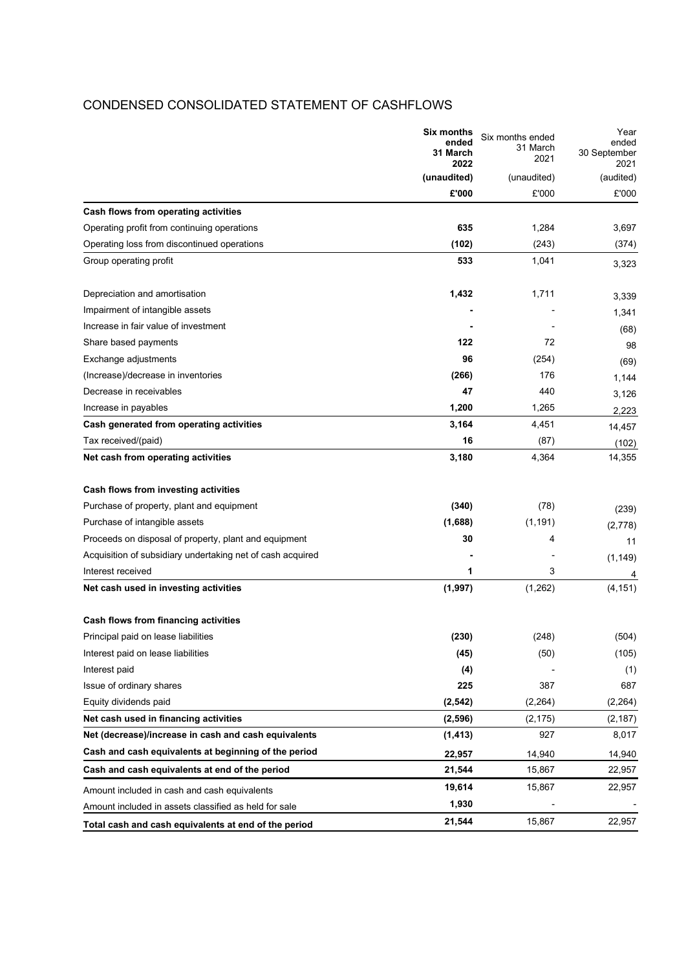### CONDENSED CONSOLIDATED STATEMENT OF CASHFLOWS

|                                                            | <b>Six months</b><br>Six months ended<br>ended<br>31 March<br>31 March<br>2021<br>2022 | Year<br>ended<br>30 September |           |
|------------------------------------------------------------|----------------------------------------------------------------------------------------|-------------------------------|-----------|
|                                                            |                                                                                        |                               | 2021      |
|                                                            | (unaudited)                                                                            | (unaudited)                   | (audited) |
|                                                            | £'000                                                                                  | £'000                         | £'000     |
| Cash flows from operating activities                       |                                                                                        |                               |           |
| Operating profit from continuing operations                | 635                                                                                    | 1,284                         | 3,697     |
| Operating loss from discontinued operations                | (102)                                                                                  | (243)                         | (374)     |
| Group operating profit                                     | 533                                                                                    | 1,041                         | 3,323     |
| Depreciation and amortisation                              | 1,432                                                                                  | 1,711                         | 3,339     |
| Impairment of intangible assets                            |                                                                                        |                               | 1,341     |
| Increase in fair value of investment                       |                                                                                        |                               | (68)      |
| Share based payments                                       | 122                                                                                    | 72                            | 98        |
| Exchange adjustments                                       | 96                                                                                     | (254)                         | (69)      |
| (Increase)/decrease in inventories                         | (266)                                                                                  | 176                           | 1,144     |
| Decrease in receivables                                    | 47                                                                                     | 440                           | 3,126     |
| Increase in payables                                       | 1,200                                                                                  | 1,265                         | 2,223     |
| Cash generated from operating activities                   | 3,164                                                                                  | 4,451                         | 14,457    |
| Tax received/(paid)                                        | 16                                                                                     | (87)                          | (102)     |
| Net cash from operating activities                         | 3,180                                                                                  | 4,364                         | 14,355    |
| Cash flows from investing activities                       |                                                                                        |                               |           |
| Purchase of property, plant and equipment                  | (340)                                                                                  | (78)                          | (239)     |
| Purchase of intangible assets                              | (1,688)                                                                                | (1, 191)                      | (2,778)   |
| Proceeds on disposal of property, plant and equipment      | 30                                                                                     | 4                             | 11        |
| Acquisition of subsidiary undertaking net of cash acquired |                                                                                        |                               | (1, 149)  |
| Interest received                                          | 1                                                                                      | 3                             | 4         |
| Net cash used in investing activities                      | (1, 997)                                                                               | (1,262)                       | (4, 151)  |
| Cash flows from financing activities                       |                                                                                        |                               |           |
| Principal paid on lease liabilities                        | (230)                                                                                  | (248)                         | (504)     |
| Interest paid on lease liabilities                         | (45)                                                                                   | (50)                          | (105)     |
| Interest paid                                              | (4)                                                                                    |                               | (1)       |
| Issue of ordinary shares                                   | 225                                                                                    | 387                           | 687       |
| Equity dividends paid                                      | (2, 542)                                                                               | (2, 264)                      | (2,264)   |
| Net cash used in financing activities                      | (2,596)                                                                                | (2, 175)                      | (2, 187)  |
| Net (decrease)/increase in cash and cash equivalents       | (1, 413)                                                                               | 927                           | 8,017     |
| Cash and cash equivalents at beginning of the period       | 22,957                                                                                 | 14,940                        | 14,940    |
| Cash and cash equivalents at end of the period             | 21,544                                                                                 | 15,867                        | 22,957    |
| Amount included in cash and cash equivalents               | 19,614                                                                                 | 15,867                        | 22,957    |
| Amount included in assets classified as held for sale      | 1,930                                                                                  |                               |           |
| Total cash and cash equivalents at end of the period       | 21,544                                                                                 | 15,867                        | 22,957    |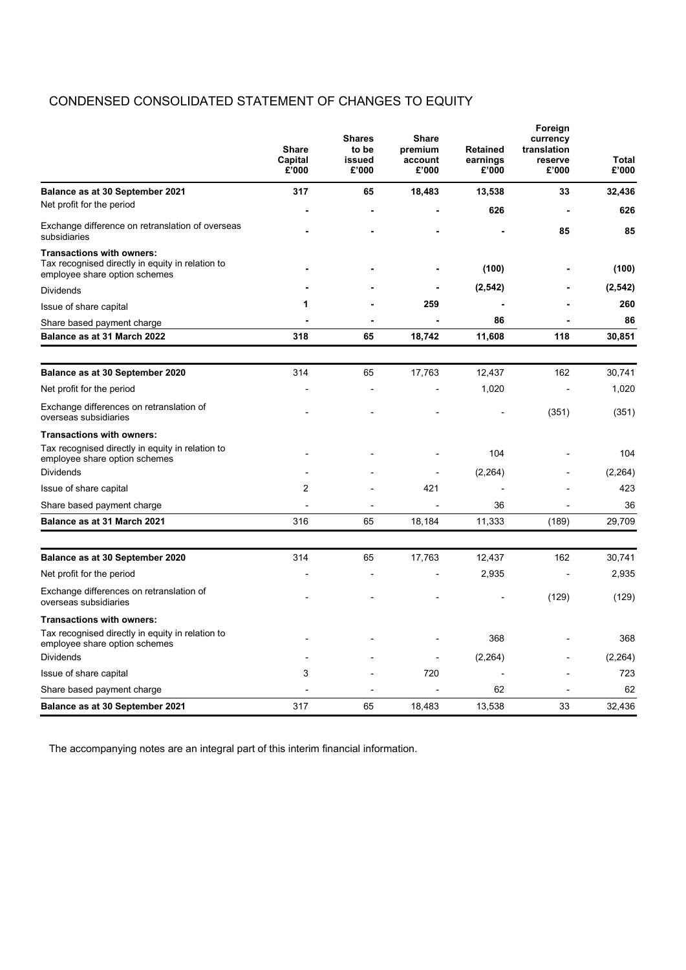## CONDENSED CONSOLIDATED STATEMENT OF CHANGES TO EQUITY

|                                                                                                                       | <b>Share</b><br>Capital<br>£'000 | <b>Shares</b><br>to be<br>issued<br>£'000 | <b>Share</b><br>premium<br>account<br>£'000 | <b>Retained</b><br>earnings<br>£'000 | Foreign<br>currency<br>translation<br>reserve<br>£'000 | <b>Total</b><br>£'000 |
|-----------------------------------------------------------------------------------------------------------------------|----------------------------------|-------------------------------------------|---------------------------------------------|--------------------------------------|--------------------------------------------------------|-----------------------|
| Balance as at 30 September 2021                                                                                       | 317                              | 65                                        | 18,483                                      | 13,538                               | 33                                                     | 32,436                |
| Net profit for the period                                                                                             |                                  |                                           |                                             | 626                                  |                                                        | 626                   |
| Exchange difference on retranslation of overseas<br>subsidiaries                                                      |                                  |                                           |                                             |                                      | 85                                                     | 85                    |
| <b>Transactions with owners:</b><br>Tax recognised directly in equity in relation to<br>employee share option schemes |                                  |                                           |                                             | (100)                                |                                                        | (100)                 |
| <b>Dividends</b>                                                                                                      |                                  |                                           |                                             | (2, 542)                             |                                                        | (2, 542)              |
| Issue of share capital                                                                                                | 1                                |                                           | 259                                         |                                      |                                                        | 260                   |
| Share based payment charge                                                                                            |                                  |                                           |                                             | 86                                   |                                                        | 86                    |
| Balance as at 31 March 2022                                                                                           | 318                              | 65                                        | 18,742                                      | 11,608                               | 118                                                    | 30,851                |
|                                                                                                                       |                                  |                                           |                                             |                                      |                                                        |                       |
| Balance as at 30 September 2020                                                                                       | 314                              | 65                                        | 17,763                                      | 12,437                               | 162                                                    | 30,741                |
| Net profit for the period                                                                                             |                                  |                                           |                                             | 1,020                                |                                                        | 1,020                 |
| Exchange differences on retranslation of<br>overseas subsidiaries                                                     |                                  |                                           |                                             |                                      | (351)                                                  | (351)                 |
| <b>Transactions with owners:</b>                                                                                      |                                  |                                           |                                             |                                      |                                                        |                       |
| Tax recognised directly in equity in relation to<br>employee share option schemes                                     |                                  |                                           |                                             | 104                                  |                                                        | 104                   |
| <b>Dividends</b>                                                                                                      |                                  |                                           |                                             | (2,264)                              |                                                        | (2, 264)              |
| Issue of share capital                                                                                                | $\overline{2}$                   |                                           | 421                                         |                                      |                                                        | 423                   |
| Share based payment charge                                                                                            |                                  | $\overline{\phantom{0}}$                  | Ĭ.                                          | 36                                   | $\overline{a}$                                         | 36                    |
| Balance as at 31 March 2021                                                                                           | 316                              | 65                                        | 18,184                                      | 11,333                               | (189)                                                  | 29,709                |
| Balance as at 30 September 2020                                                                                       | 314                              | 65                                        | 17,763                                      | 12,437                               | 162                                                    | 30,741                |
|                                                                                                                       |                                  |                                           |                                             |                                      |                                                        | 2,935                 |
| Net profit for the period                                                                                             |                                  |                                           |                                             | 2,935                                |                                                        |                       |
| Exchange differences on retranslation of<br>overseas subsidiaries                                                     |                                  |                                           |                                             |                                      | (129)                                                  | (129)                 |
| <b>Transactions with owners:</b>                                                                                      |                                  |                                           |                                             |                                      |                                                        |                       |
| Tax recognised directly in equity in relation to<br>employee share option schemes                                     |                                  |                                           |                                             | 368                                  |                                                        | 368                   |
| <b>Dividends</b>                                                                                                      |                                  |                                           |                                             | (2, 264)                             |                                                        | (2, 264)              |
| Issue of share capital                                                                                                | 3                                |                                           | 720                                         |                                      |                                                        | 723                   |
| Share based payment charge                                                                                            |                                  |                                           |                                             | 62                                   |                                                        | 62                    |
| Balance as at 30 September 2021                                                                                       | 317                              | 65                                        | 18,483                                      | 13,538                               | 33                                                     | 32.436                |

The accompanying notes are an integral part of this interim financial information.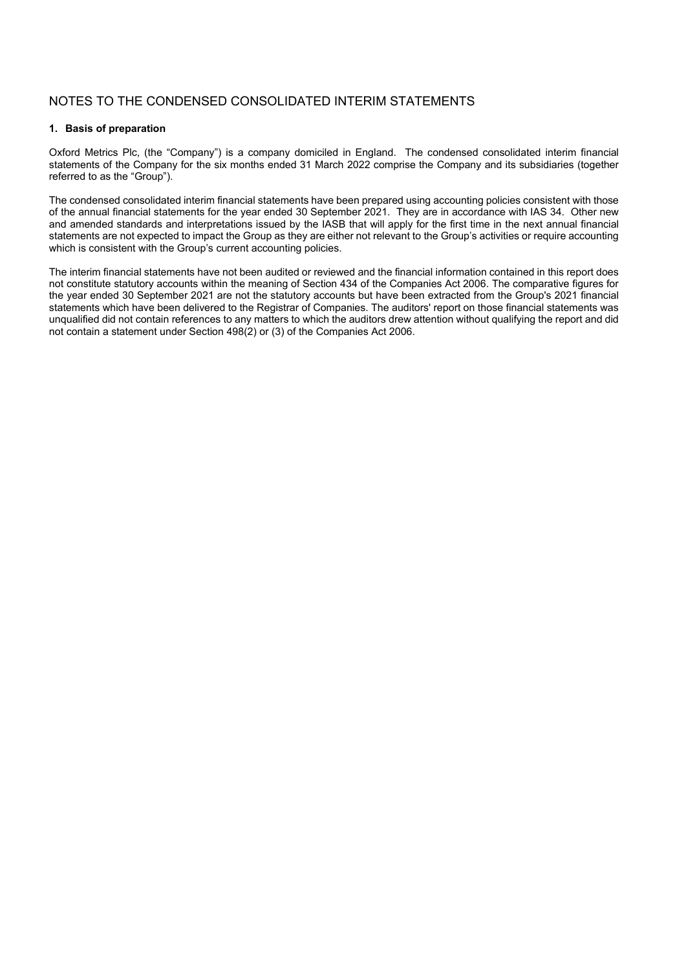### NOTES TO THE CONDENSED CONSOLIDATED INTERIM STATEMENTS

#### **1. Basis of preparation**

Oxford Metrics Plc, (the "Company") is a company domiciled in England. The condensed consolidated interim financial statements of the Company for the six months ended 31 March 2022 comprise the Company and its subsidiaries (together referred to as the "Group").

The condensed consolidated interim financial statements have been prepared using accounting policies consistent with those of the annual financial statements for the year ended 30 September 2021. They are in accordance with IAS 34. Other new and amended standards and interpretations issued by the IASB that will apply for the first time in the next annual financial statements are not expected to impact the Group as they are either not relevant to the Group's activities or require accounting which is consistent with the Group's current accounting policies.

The interim financial statements have not been audited or reviewed and the financial information contained in this report does not constitute statutory accounts within the meaning of Section 434 of the Companies Act 2006. The comparative figures for the year ended 30 September 2021 are not the statutory accounts but have been extracted from the Group's 2021 financial statements which have been delivered to the Registrar of Companies. The auditors' report on those financial statements was unqualified did not contain references to any matters to which the auditors drew attention without qualifying the report and did not contain a statement under Section 498(2) or (3) of the Companies Act 2006.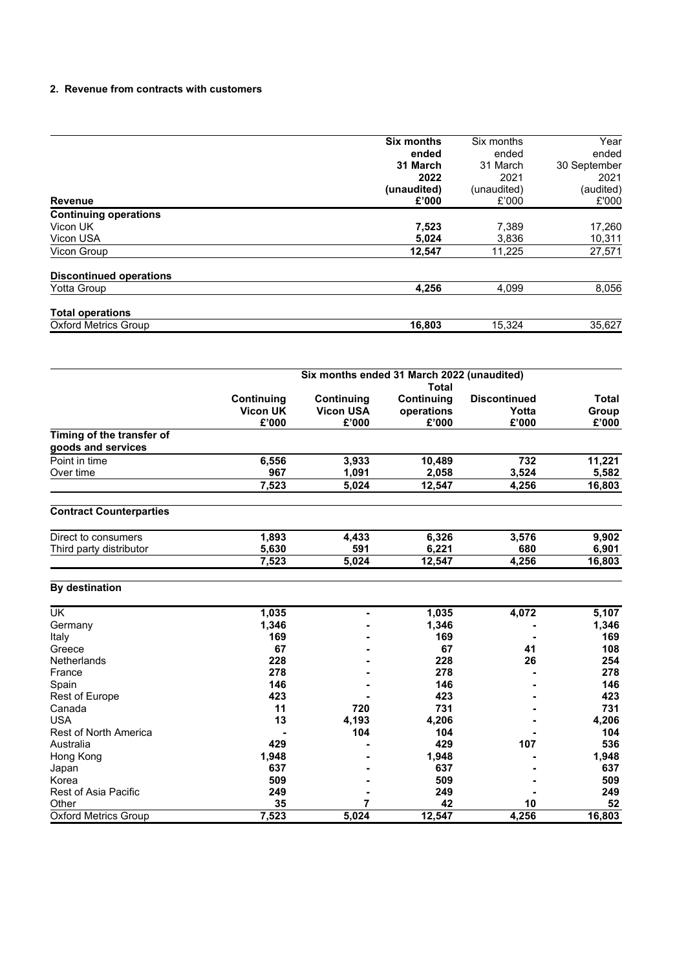#### **2. Revenue from contracts with customers**

|                                | <b>Six months</b> | Six months  | Year         |  |
|--------------------------------|-------------------|-------------|--------------|--|
|                                | ended             | ended       | ended        |  |
|                                | 31 March          | 31 March    | 30 September |  |
|                                | 2022              | 2021        | 2021         |  |
|                                | (unaudited)       | (unaudited) | (audited)    |  |
| <b>Revenue</b>                 | £'000             | £'000       | £'000        |  |
| <b>Continuing operations</b>   |                   |             |              |  |
| Vicon UK                       | 7,523             | 7,389       | 17,260       |  |
| Vicon USA                      | 5,024             | 3,836       | 10,311       |  |
| <b>Vicon Group</b>             | 12,547            | 11,225      | 27,571       |  |
| <b>Discontinued operations</b> |                   |             |              |  |
| Yotta Group                    | 4,256             | 4,099       | 8,056        |  |
| <b>Total operations</b>        |                   |             |              |  |
| <b>Oxford Metrics Group</b>    | 16,803            | 15.324      | 35,627       |  |

|                                                 | Six months ended 31 March 2022 (unaudited)<br>Total |                                         |                                   |                                       |                         |  |  |
|-------------------------------------------------|-----------------------------------------------------|-----------------------------------------|-----------------------------------|---------------------------------------|-------------------------|--|--|
|                                                 | Continuing<br><b>Vicon UK</b><br>£'000              | Continuing<br><b>Vicon USA</b><br>£'000 | Continuing<br>operations<br>£'000 | <b>Discontinued</b><br>Yotta<br>£'000 | Total<br>Group<br>£'000 |  |  |
| Timing of the transfer of<br>goods and services |                                                     |                                         |                                   |                                       |                         |  |  |
| Point in time<br>Over time                      | 6,556<br>967                                        | 3.933<br>1.091                          | 10.489<br>2,058                   | 732<br>3,524                          | 11.221<br>5,582         |  |  |
|                                                 | 7.523                                               | 5.024                                   | 12.547                            | 4.256                                 | 16,803                  |  |  |

## **Contract Counterparties**

| Direct to<br>consumers        | .893  | .433  | 6,326  | 3.576 | 9.902  |
|-------------------------------|-------|-------|--------|-------|--------|
| Third<br>distributor<br>party | 5.630 | 591   | 6.221  | 680   | 901.ذ  |
|                               | 7.523 | 5.024 | 12.547 | 4.256 | 16.803 |

### **By destination**

| <b>UK</b>                    | 1,035 |       | 1,035  | 4,072 | 5,107  |
|------------------------------|-------|-------|--------|-------|--------|
| Germany                      | 1,346 |       | 1,346  |       | 1,346  |
| Italy                        | 169   |       | 169    |       | 169    |
| Greece                       | 67    |       | 67     | 41    | 108    |
| <b>Netherlands</b>           | 228   |       | 228    | 26    | 254    |
| France                       | 278   |       | 278    |       | 278    |
| Spain                        | 146   |       | 146    |       | 146    |
| Rest of Europe               | 423   |       | 423    |       | 423    |
| Canada                       | 11    | 720   | 731    |       | 731    |
| <b>USA</b>                   | 13    | 4,193 | 4,206  |       | 4,206  |
| <b>Rest of North America</b> |       | 104   | 104    |       | 104    |
| Australia                    | 429   |       | 429    | 107   | 536    |
| Hong Kong                    | 1,948 |       | 1,948  |       | 1,948  |
| Japan                        | 637   |       | 637    |       | 637    |
| Korea                        | 509   |       | 509    |       | 509    |
| Rest of Asia Pacific         | 249   |       | 249    |       | 249    |
| Other                        | 35    |       | 42     | 10    | 52     |
| <b>Oxford Metrics Group</b>  | 7,523 | 5,024 | 12,547 | 4,256 | 16,803 |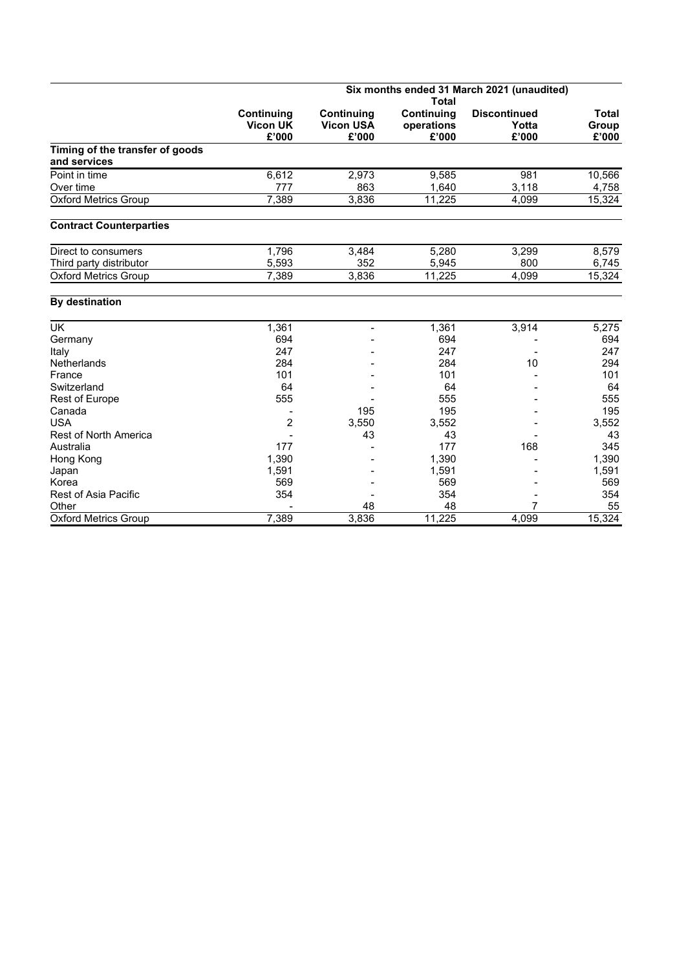|                                                 | Six months ended 31 March 2021 (unaudited) |                  |              |                     |              |  |  |
|-------------------------------------------------|--------------------------------------------|------------------|--------------|---------------------|--------------|--|--|
|                                                 |                                            |                  | <b>Total</b> |                     |              |  |  |
|                                                 | <b>Continuing</b>                          | Continuing       | Continuing   | <b>Discontinued</b> | <b>Total</b> |  |  |
|                                                 | <b>Vicon UK</b>                            | <b>Vicon USA</b> | operations   | Yotta               | Group        |  |  |
|                                                 | £'000                                      | £'000            | £'000        | £'000               | £'000        |  |  |
| Timing of the transfer of goods<br>and services |                                            |                  |              |                     |              |  |  |
| Point in time                                   | 6,612                                      | 2,973            | 9,585        | 981                 | 10,566       |  |  |
| Over time                                       | 777                                        | 863              | 1,640        | 3,118               | 4,758        |  |  |
| <b>Oxford Metrics Group</b>                     | 7,389                                      | 3,836            | 11,225       | 4,099               | 15,324       |  |  |
| <b>Contract Counterparties</b>                  |                                            |                  |              |                     |              |  |  |
| Direct to consumers                             | 1,796                                      | 3,484            | 5,280        | 3,299               | 8,579        |  |  |
| Third party distributor                         | 5,593                                      | 352              | 5,945        | 800                 | 6,745        |  |  |
| <b>Oxford Metrics Group</b>                     | 7,389                                      | 3,836            | 11.225       | 4,099               | 15,324       |  |  |
| <b>By destination</b>                           |                                            |                  |              |                     |              |  |  |
| UK                                              | 1,361                                      |                  | 1,361        | 3,914               | 5,275        |  |  |
| Germany                                         | 694                                        |                  | 694          |                     | 694          |  |  |
| Italy                                           | 247                                        |                  | 247          |                     | 247          |  |  |
| <b>Netherlands</b>                              | 284                                        |                  | 284          | 10                  | 294          |  |  |
| France                                          | 101                                        |                  | 101          |                     | 101          |  |  |
| Switzerland                                     | 64                                         |                  | 64           |                     | 64           |  |  |
| Rest of Europe                                  | 555                                        |                  | 555          |                     | 555          |  |  |
| Canada                                          |                                            | 195              | 195          |                     | 195          |  |  |
| <b>USA</b>                                      | $\overline{c}$                             | 3,550            | 3,552        |                     | 3,552        |  |  |
| <b>Rest of North America</b>                    |                                            | 43               | 43           |                     | 43           |  |  |
| Australia                                       | 177                                        |                  | 177          | 168                 | 345          |  |  |
| Hong Kong                                       | 1,390                                      |                  | 1,390        |                     | 1,390        |  |  |
| Japan                                           | 1,591                                      |                  | 1,591        |                     | 1,591        |  |  |
| Korea                                           | 569                                        |                  | 569          |                     | 569          |  |  |
| <b>Rest of Asia Pacific</b>                     | 354                                        |                  | 354          |                     | 354          |  |  |
| Other                                           |                                            | 48               | 48           | 7                   | 55           |  |  |
| <b>Oxford Metrics Group</b>                     | 7,389                                      | 3,836            | 11,225       | 4,099               | 15,324       |  |  |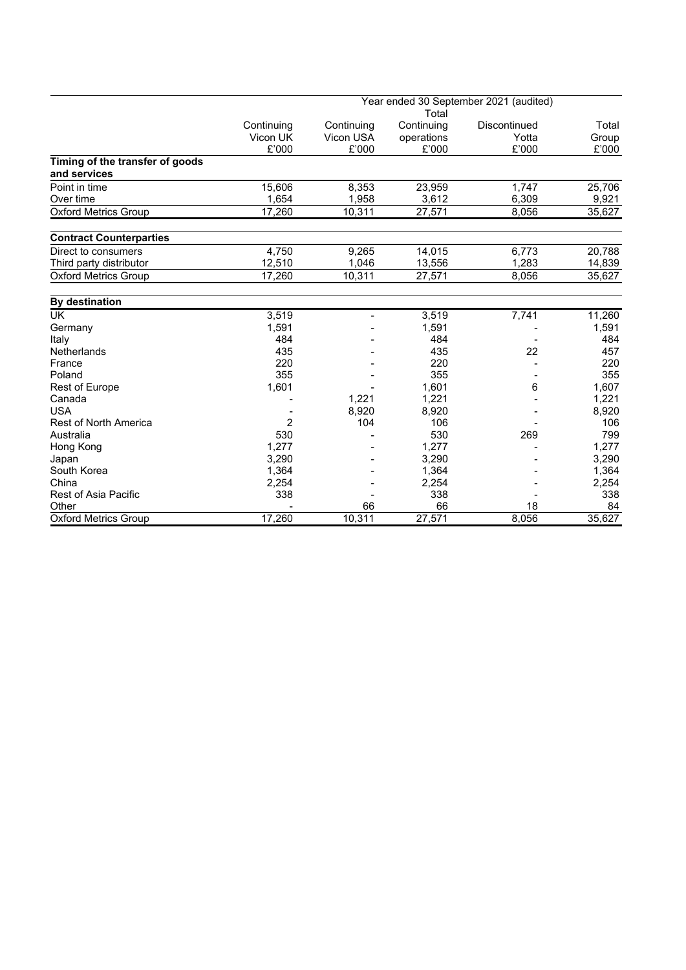|                                 | Year ended 30 September 2021 (audited) |                |            |              |        |  |  |  |  |
|---------------------------------|----------------------------------------|----------------|------------|--------------|--------|--|--|--|--|
|                                 |                                        |                | Total      |              |        |  |  |  |  |
|                                 | Continuing                             | Continuing     | Continuing | Discontinued | Total  |  |  |  |  |
|                                 | Vicon UK                               | Vicon USA      | operations | Yotta        | Group  |  |  |  |  |
|                                 | £'000                                  | £'000          | £'000      | £'000        | £'000  |  |  |  |  |
| Timing of the transfer of goods |                                        |                |            |              |        |  |  |  |  |
| and services                    |                                        |                |            |              |        |  |  |  |  |
| Point in time                   | 15,606                                 | 8,353          | 23,959     | 1,747        | 25,706 |  |  |  |  |
| Over time                       | 1,654                                  | 1,958          | 3,612      | 6,309        | 9,921  |  |  |  |  |
| <b>Oxford Metrics Group</b>     | 17,260                                 | 10,311         | 27,571     | 8,056        | 35,627 |  |  |  |  |
| <b>Contract Counterparties</b>  |                                        |                |            |              |        |  |  |  |  |
| Direct to consumers             | 4,750                                  | 9,265          | 14,015     | 6,773        | 20,788 |  |  |  |  |
| Third party distributor         | 12,510                                 | 1,046          | 13,556     | 1.283        | 14,839 |  |  |  |  |
| <b>Oxford Metrics Group</b>     | 17,260                                 | 10,311         | 27,571     | 8,056        | 35,627 |  |  |  |  |
| <b>By destination</b>           |                                        |                |            |              |        |  |  |  |  |
| <b>UK</b>                       | 3,519                                  | $\blacksquare$ | 3,519      | 7,741        | 11,260 |  |  |  |  |
| Germany                         | 1,591                                  |                | 1,591      |              | 1,591  |  |  |  |  |
| Italy                           | 484                                    |                | 484        |              | 484    |  |  |  |  |
| <b>Netherlands</b>              | 435                                    |                | 435        | 22           | 457    |  |  |  |  |
| France                          | 220                                    |                | 220        |              | 220    |  |  |  |  |
| Poland                          | 355                                    |                | 355        |              | 355    |  |  |  |  |
| <b>Rest of Europe</b>           | 1,601                                  |                | 1,601      | 6            | 1,607  |  |  |  |  |
| Canada                          |                                        | 1,221          | 1,221      |              | 1,221  |  |  |  |  |
| <b>USA</b>                      |                                        | 8,920          | 8,920      |              | 8,920  |  |  |  |  |
| <b>Rest of North America</b>    | $\overline{2}$                         | 104            | 106        |              | 106    |  |  |  |  |
| Australia                       | 530                                    |                | 530        | 269          | 799    |  |  |  |  |
| Hong Kong                       | 1,277                                  |                | 1,277      |              | 1,277  |  |  |  |  |
| Japan                           | 3.290                                  |                | 3.290      |              | 3,290  |  |  |  |  |
| South Korea                     | 1,364                                  |                | 1,364      |              | 1,364  |  |  |  |  |
| China                           | 2,254                                  |                | 2,254      |              | 2,254  |  |  |  |  |
| <b>Rest of Asia Pacific</b>     | 338                                    |                | 338        |              | 338    |  |  |  |  |
| Other                           |                                        | 66             | 66         | 18           | 84     |  |  |  |  |
| <b>Oxford Metrics Group</b>     | 17,260                                 | 10,311         | 27,571     | 8,056        | 35,627 |  |  |  |  |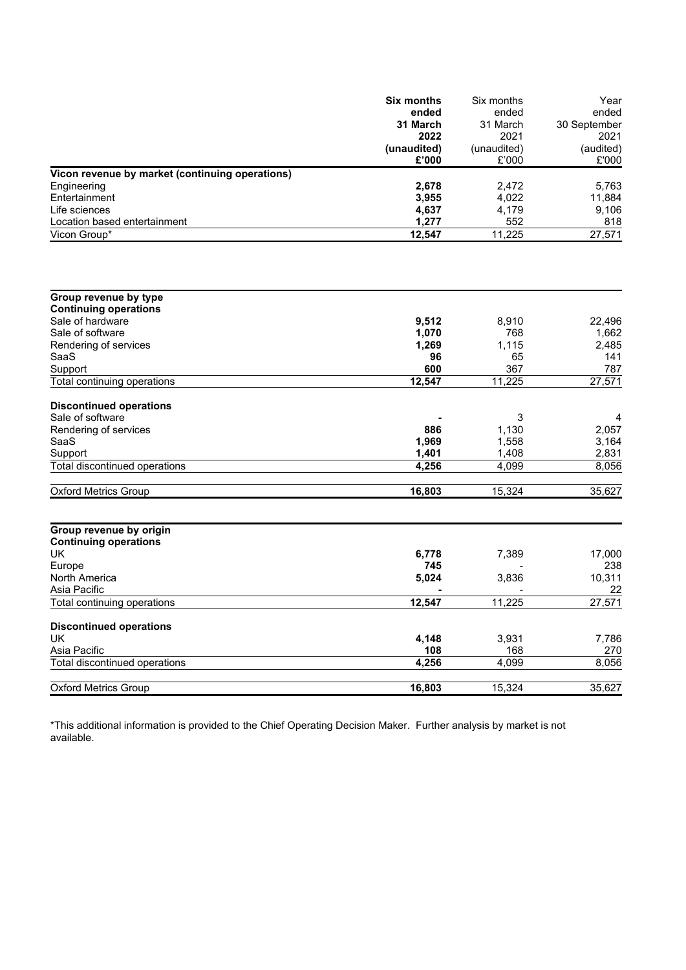|                                                 | <b>Six months</b> | Six months  | Year         |
|-------------------------------------------------|-------------------|-------------|--------------|
|                                                 | ended             | ended       | ended        |
|                                                 | 31 March          | 31 March    | 30 September |
|                                                 | 2022              | 2021        | 2021         |
|                                                 | (unaudited)       | (unaudited) | (audited)    |
|                                                 | £'000             | £'000       | £'000        |
| Vicon revenue by market (continuing operations) |                   |             |              |
| Engineering                                     | 2,678             | 2,472       | 5,763        |
| Entertainment                                   | 3,955             | 4,022       | 11,884       |
| Life sciences                                   | 4,637             | 4,179       | 9,106        |
| Location based entertainment                    | 1,277             | 552         | 818          |
| Vicon Group*                                    | 12,547            | 11,225      | 27,571       |
|                                                 |                   |             |              |
| Group revenue by type                           |                   |             |              |
| <b>Continuing operations</b>                    |                   |             |              |
| Sale of hardware                                | 9,512             | 8,910       | 22,496       |
| Sale of software                                | 1,070             | 768         | 1,662        |
| Rendering of services<br>SaaS                   | 1,269<br>96       | 1,115<br>65 | 2,485<br>141 |
| Support                                         | 600               | 367         | 787          |
| Total continuing operations                     | 12,547            | 11,225      | 27,571       |
|                                                 |                   |             |              |
| <b>Discontinued operations</b>                  |                   |             |              |
| Sale of software                                |                   | 3           | 4            |
| Rendering of services                           | 886               | 1,130       | 2,057        |
| SaaS                                            | 1,969             | 1,558       | 3,164        |
| Support                                         | 1,401             | 1,408       | 2,831        |
| Total discontinued operations                   | 4,256             | 4,099       | 8,056        |
|                                                 |                   |             |              |
| <b>Oxford Metrics Group</b>                     | 16,803            | 15,324      | 35,627       |
|                                                 |                   |             |              |
| Group revenue by origin                         |                   |             |              |
| <b>Continuing operations</b>                    |                   |             |              |
| UK                                              | 6,778             | 7,389       | 17,000       |
| Europe                                          | 745               |             | 238          |
| North America                                   | 5,024             | 3,836       | 10,311       |
| Asia Pacific                                    | 12,547            | 11,225      | 22<br>27,571 |
| Total continuing operations                     |                   |             |              |
| <b>Discontinued operations</b>                  |                   |             |              |
| UK                                              | 4,148             | 3,931       | 7,786        |
| Asia Pacific                                    | 108               | 168         | 270          |
| Total discontinued operations                   | 4,256             | 4,099       | 8,056        |
| <b>Oxford Metrics Group</b>                     | 16,803            | 15,324      | 35,627       |

\*This additional information is provided to the Chief Operating Decision Maker. Further analysis by market is not available.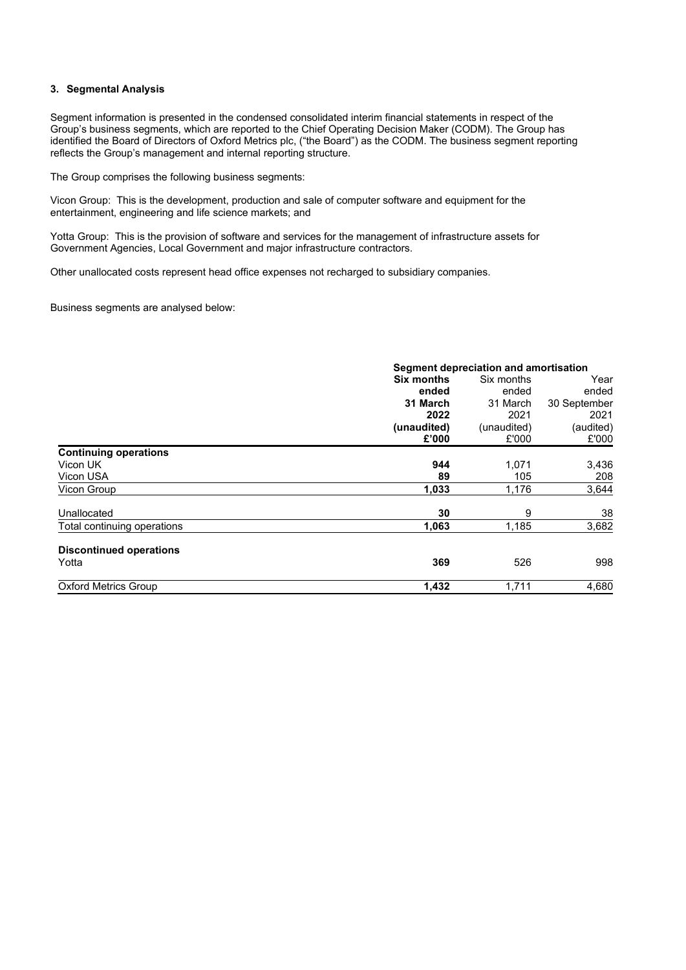#### **3. Segmental Analysis**

Segment information is presented in the condensed consolidated interim financial statements in respect of the Group's business segments, which are reported to the Chief Operating Decision Maker (CODM). The Group has identified the Board of Directors of Oxford Metrics plc, ("the Board") as the CODM. The business segment reporting reflects the Group's management and internal reporting structure.

The Group comprises the following business segments:

Vicon Group: This is the development, production and sale of computer software and equipment for the entertainment, engineering and life science markets; and

Yotta Group: This is the provision of software and services for the management of infrastructure assets for Government Agencies, Local Government and major infrastructure contractors.

Other unallocated costs represent head office expenses not recharged to subsidiary companies.

Business segments are analysed below:

|                                | Segment depreciation and amortisation |             |              |  |  |
|--------------------------------|---------------------------------------|-------------|--------------|--|--|
|                                | Six months                            | Six months  | Year         |  |  |
|                                | ended                                 | ended       | ended        |  |  |
|                                | 31 March                              | 31 March    | 30 September |  |  |
|                                | 2022                                  | 2021        | 2021         |  |  |
|                                | (unaudited)                           | (unaudited) | (audited)    |  |  |
|                                | £'000                                 | £'000       | £'000        |  |  |
| <b>Continuing operations</b>   |                                       |             |              |  |  |
| Vicon UK                       | 944                                   | 1,071       | 3,436        |  |  |
| Vicon USA                      | 89                                    | 105         | 208          |  |  |
| Vicon Group                    | 1,033                                 | 1,176       | 3,644        |  |  |
| Unallocated                    | 30                                    | 9           | 38           |  |  |
| Total continuing operations    | 1,063                                 | 1,185       | 3,682        |  |  |
| <b>Discontinued operations</b> |                                       |             |              |  |  |
| Yotta                          | 369                                   | 526         | 998          |  |  |
| <b>Oxford Metrics Group</b>    | 1,432                                 | 1,711       | 4,680        |  |  |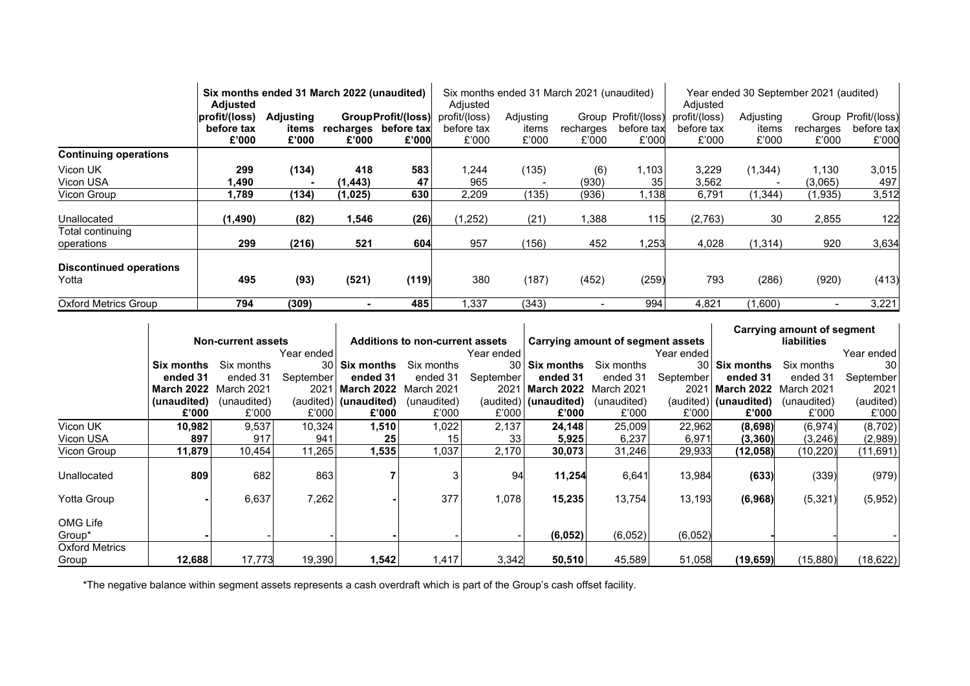|                                         | Six months ended 31 March 2022 (unaudited)<br><b>Adjusted</b> |                                    |                 | Six months ended 31 March 2021 (unaudited)<br>Adjusted |                                      |                             |                    | Year ended 30 September 2021 (audited)<br>Adjusted |                                      |                             |                    |                                            |
|-----------------------------------------|---------------------------------------------------------------|------------------------------------|-----------------|--------------------------------------------------------|--------------------------------------|-----------------------------|--------------------|----------------------------------------------------|--------------------------------------|-----------------------------|--------------------|--------------------------------------------|
|                                         | profit/(loss)<br>before tax<br>£'000                          | <b>Adjusting</b><br>items<br>£'000 | £'000           | GroupProfit/(loss)<br>recharges before tax<br>£'000    | profit/(loss)<br>before tax<br>£'000 | Adjusting<br>items<br>£'000 | recharges<br>£'000 | Group Profit/(loss)<br>before tax<br>£'000         | profit/(loss)<br>before tax<br>£'000 | Adjusting<br>items<br>£'000 | recharges<br>£'000 | Group Profit/(loss)<br>before tax<br>£'000 |
| <b>Continuing operations</b>            |                                                               |                                    |                 |                                                        |                                      |                             |                    |                                                    |                                      |                             |                    |                                            |
| Vicon UK<br>Vicon USA                   | 299<br>90. ا                                                  | (134)                              | 418<br>(1, 443) | 583<br>47                                              | 1,244<br>965                         | (135)                       | (6)<br>(930)       | 1.103<br>35                                        | 3,229<br>3,562                       | (1,344)                     | 1,130<br>(3,065)   | 3,015<br>497                               |
| Vicon Group                             | 1,789                                                         | (134)                              | (1,025)         | 630                                                    | 2,209                                | (135)                       | (936)              | 1.138                                              | 6,791                                | (1, 344)                    | (1,935)            | 3,512                                      |
| Unallocated                             | (1, 490)                                                      | (82)                               | 1,546           | (26)                                                   | (1,252)                              | (21)                        | ,388               | 115                                                | (2,763)                              | 30                          | 2,855              | 122                                        |
| Total continuing<br>operations          | 299                                                           | (216)                              | 521             | 604                                                    | 957                                  | (156)                       | 452                | ,253                                               | 4,028                                | (1, 314)                    | 920                | 3,634                                      |
| <b>Discontinued operations</b><br>Yotta | 495                                                           | (93)                               | (521)           | (119)                                                  | 380                                  | (187)                       | (452)              | (259)                                              | 793                                  | (286)                       | (920)              | (413)                                      |
| <b>Oxford Metrics Group</b>             | 794                                                           | (309)                              |                 | 485                                                    | .337                                 | (343)                       |                    | 994                                                | 4,821                                | (1,600)                     |                    | 3,221                                      |

|                                |                           |             |              |                                        |                 |                 |                                   |             | Carrying amount of segment |                    |             |            |
|--------------------------------|---------------------------|-------------|--------------|----------------------------------------|-----------------|-----------------|-----------------------------------|-------------|----------------------------|--------------------|-------------|------------|
|                                | <b>Non-current assets</b> |             |              | <b>Additions to non-current assets</b> |                 |                 | Carrying amount of segment assets |             |                            | <b>liabilities</b> |             |            |
|                                |                           |             | Year ended l |                                        |                 | Year ended      |                                   |             | Year ended                 |                    |             | Year ended |
|                                | Six months                | Six months  |              | 30 Six months                          | Six months      | 30 <sup>1</sup> | <b>Six months</b>                 | Six months  | 30 I                       | <b>Six months</b>  | Six months  | 30         |
|                                | ended 31                  | ended 31    | September    | ended 31                               | ended 31        | September       | ended 31                          | ended 31    | September                  | ended 31           | ended 31    | September  |
|                                | <b>March 2022</b>         | March 2021  | 2021         | March 2022                             | March 2021      | 2021            | March 2022 March 2021             |             | 2021                       | <b>March 2022</b>  | March 2021  | 2021       |
|                                | (unaudited)               | (unaudited) |              | (audited) (unaudited)                  | (unaudited)     |                 | (audited) (unaudited)             | (unaudited) | (audited)                  | (unaudited)        | (unaudited) | (audited)  |
|                                | £'000                     | £'000       | £'000        | £'000                                  | £'000           | £'000           | £'000                             | £'000       | £'000                      | £'000              | £'000       | £'000      |
| Vicon UK                       | 10,982                    | 9,537       | 10,324       | 1,510                                  | 1,022           | 2,137           | 24,148                            | 25,009      | 22,962                     | (8,698)            | (6, 974)    | (8,702)    |
| Vicon USA                      | 897                       | 917         | 941          | 25                                     | 15 <sub>1</sub> | 33              | 5,925                             | 6,237       | 6,971                      | (3, 360)           | (3,246)     | (2,989)    |
| Vicon Group                    | 11,879                    | 10,454      | 11,265       | 1,535                                  | 1,037           | 2,170           | 30,073                            | 31,246      | 29,933                     | (12,058)           | (10, 220)   | (11, 691)  |
| Unallocated                    | 809                       | 682         | 863          |                                        |                 | 94              | 11,254                            | 6,641       | 13,984                     | (633)              | (339)       | (979)      |
| Yotta Group                    |                           | 6,637       | 7,262        |                                        | 377             | 1,078           | 15,235                            | 13,754      | 13,193                     | (6,968)            | (5, 321)    | (5,952)    |
| OMG Life<br>Group*             |                           |             |              |                                        |                 |                 | (6,052)                           | (6,052)     | (6,052)                    |                    |             |            |
| <b>Oxford Metrics</b><br>Group | 12,688                    | 17,773      | 19,390       | 1,542                                  | ,417            | 3,342           | 50,510                            | 45,589      | 51,058                     | (19, 659)          | (15, 880)   | (18, 622)  |

\*The negative balance within segment assets represents a cash overdraft which is part of the Group's cash offset facility.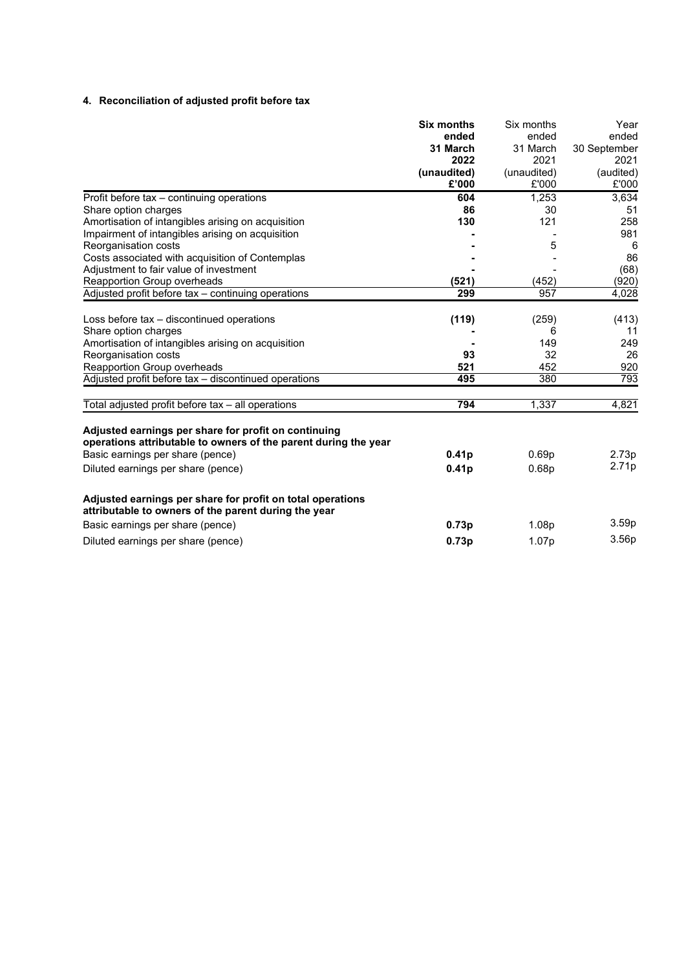#### **4. Reconciliation of adjusted profit before tax**

|                                                                                                                    | <b>Six months</b> | Six months        | Year              |
|--------------------------------------------------------------------------------------------------------------------|-------------------|-------------------|-------------------|
|                                                                                                                    | ended             | ended             | ended             |
|                                                                                                                    | 31 March          | 31 March          | 30 September      |
|                                                                                                                    | 2022              | 2021              | 2021              |
|                                                                                                                    | (unaudited)       | (unaudited)       | (audited)         |
|                                                                                                                    | £'000             | £'000             | £'000             |
| Profit before tax - continuing operations                                                                          | 604               | 1,253             | 3,634             |
| Share option charges                                                                                               | 86                | 30                | 51                |
| Amortisation of intangibles arising on acquisition                                                                 | 130               | 121               | 258               |
| Impairment of intangibles arising on acquisition                                                                   |                   |                   | 981               |
| Reorganisation costs                                                                                               |                   | 5                 | 6                 |
| Costs associated with acquisition of Contemplas                                                                    |                   |                   | 86                |
| Adjustment to fair value of investment                                                                             |                   |                   | (68)              |
| Reapportion Group overheads                                                                                        | (521)             | (452)             | (920)             |
| Adjusted profit before tax - continuing operations                                                                 | 299               | 957               | 4,028             |
|                                                                                                                    |                   |                   |                   |
| Loss before tax – discontinued operations                                                                          | (119)             | (259)             | (413)             |
| Share option charges                                                                                               |                   | 6                 | 11                |
| Amortisation of intangibles arising on acquisition                                                                 |                   | 149               | 249               |
| Reorganisation costs                                                                                               | 93                | 32                | 26                |
| Reapportion Group overheads                                                                                        | 521               | 452               | 920               |
| Adjusted profit before tax - discontinued operations                                                               | 495               | 380               | 793               |
| Total adjusted profit before tax - all operations                                                                  | 794               | 1,337             | 4,821             |
| Adjusted earnings per share for profit on continuing                                                               |                   |                   |                   |
| operations attributable to owners of the parent during the year                                                    |                   |                   |                   |
| Basic earnings per share (pence)                                                                                   | 0.41 <sub>p</sub> | 0.69 <sub>p</sub> | 2.73p             |
| Diluted earnings per share (pence)                                                                                 | 0.41 <sub>p</sub> | 0.68p             | 2.71p             |
| Adjusted earnings per share for profit on total operations<br>attributable to owners of the parent during the year |                   |                   |                   |
| Basic earnings per share (pence)                                                                                   | 0.73p             | 1.08p             | 3.59 <sub>p</sub> |
| Diluted earnings per share (pence)                                                                                 | 0.73p             | 1.07p             | 3.56p             |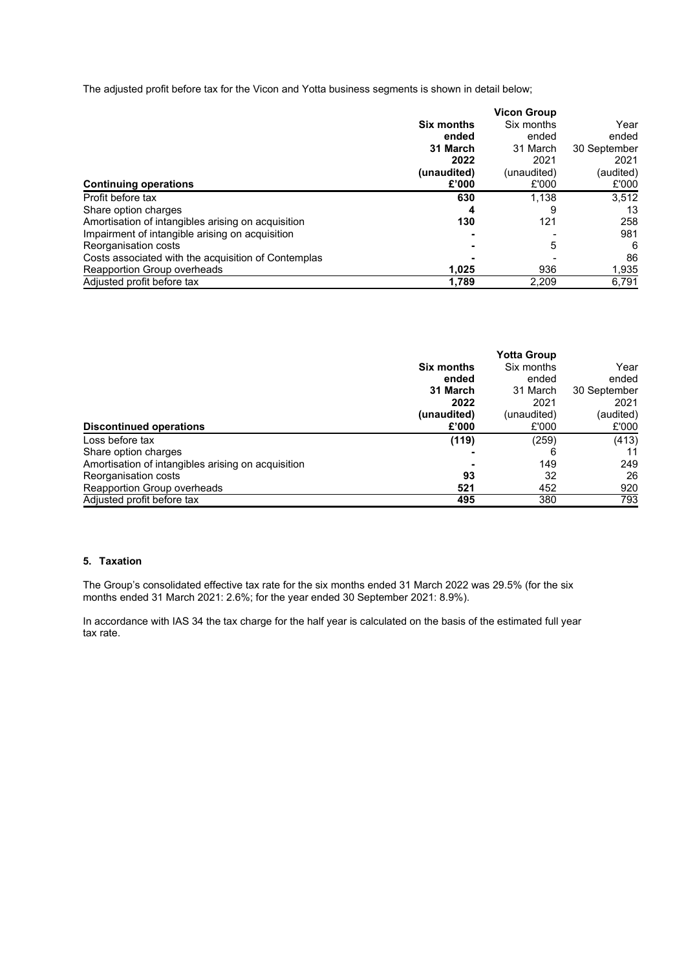The adjusted profit before tax for the Vicon and Yotta business segments is shown in detail below;

|                                                     |                   | <b>Vicon Group</b> |              |
|-----------------------------------------------------|-------------------|--------------------|--------------|
|                                                     | <b>Six months</b> | Six months         | Year         |
|                                                     | ended             | ended              | ended        |
|                                                     | 31 March          | 31 March           | 30 September |
|                                                     | 2022              | 2021               | 2021         |
|                                                     | (unaudited)       | (unaudited)        | (audited)    |
| <b>Continuing operations</b>                        | £'000             | £'000              | £'000        |
| Profit before tax                                   | 630               | 1.138              | 3.512        |
| Share option charges                                | 4                 | 9                  | 13           |
| Amortisation of intangibles arising on acquisition  | 130               | 121                | 258          |
| Impairment of intangible arising on acquisition     |                   |                    | 981          |
| Reorganisation costs                                |                   | 5                  | 6            |
| Costs associated with the acquisition of Contemplas |                   |                    | 86           |
| Reapportion Group overheads                         | 1,025             | 936                | 1,935        |
| Adjusted profit before tax                          | 1.789             | 2.209              | 6.791        |

|                                                    |                   | <b>Yotta Group</b> |              |
|----------------------------------------------------|-------------------|--------------------|--------------|
|                                                    | <b>Six months</b> | Six months         | Year         |
|                                                    | ended             | ended              | ended        |
|                                                    | 31 March          | 31 March           | 30 September |
|                                                    | 2022              | 2021               | 2021         |
|                                                    | (unaudited)       | (unaudited)        | (audited)    |
| <b>Discontinued operations</b>                     | £'000             | £'000              | £'000        |
| Loss before tax                                    | (119)             | (259)              | (413)        |
| Share option charges                               |                   | 6                  | 11           |
| Amortisation of intangibles arising on acquisition |                   | 149                | 249          |
| Reorganisation costs                               | 93                | 32                 | 26           |
| Reapportion Group overheads                        | 521               | 452                | 920          |
| Adjusted profit before tax                         | 495               | 380                | 793          |

#### **5. Taxation**

The Group's consolidated effective tax rate for the six months ended 31 March 2022 was 29.5% (for the six months ended 31 March 2021: 2.6%; for the year ended 30 September 2021: 8.9%).

In accordance with IAS 34 the tax charge for the half year is calculated on the basis of the estimated full year tax rate.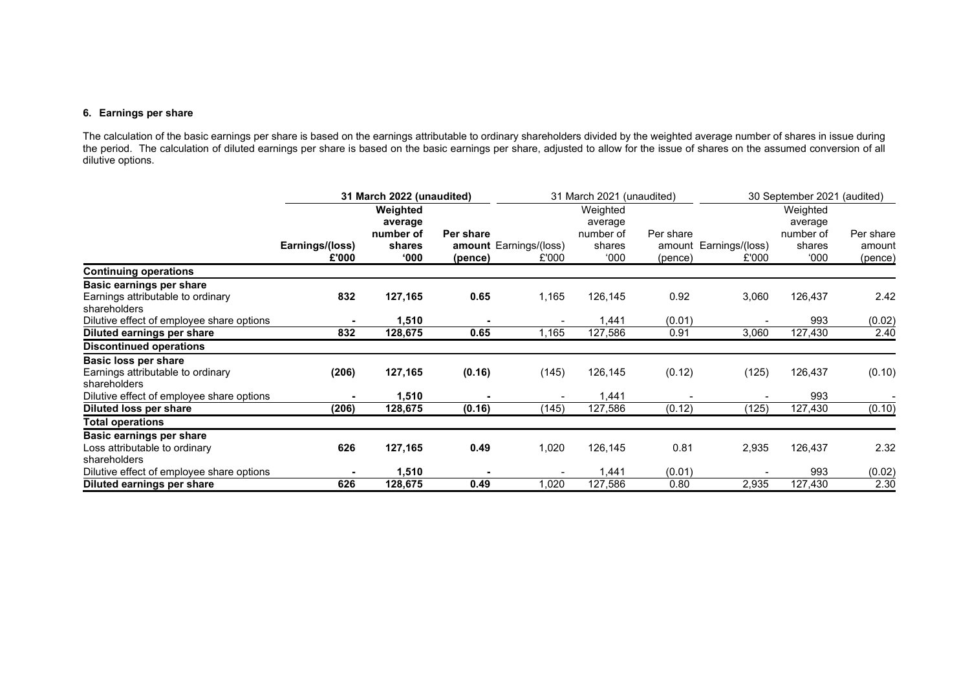#### **6. Earnings per share**

The calculation of the basic earnings per share is based on the earnings attributable to ordinary shareholders divided by the weighted average number of shares in issue during the period. The calculation of diluted earnings per share is based on the basic earnings per share, adjusted to allow for the issue of shares on the assumed conversion of all dilutive options.

|                                                   | 31 March 2022 (unaudited) |                      |           |                        | 31 March 2021 (unaudited) |           | 30 September 2021 (audited) |                      |           |
|---------------------------------------------------|---------------------------|----------------------|-----------|------------------------|---------------------------|-----------|-----------------------------|----------------------|-----------|
|                                                   |                           | Weighted             |           |                        | Weighted                  |           |                             | Weighted             |           |
|                                                   |                           | average<br>number of | Per share |                        | average<br>number of      | Per share |                             | average<br>number of | Per share |
|                                                   | Earnings/(loss)           | shares               |           | amount Earnings/(loss) | shares                    | amount    | Earnings/(loss)             | shares               | amount    |
|                                                   | £'000                     | 000'                 | (pence)   | £'000                  | 000'                      | (pence)   | £'000                       | 000'                 | (pence)   |
| <b>Continuing operations</b>                      |                           |                      |           |                        |                           |           |                             |                      |           |
| Basic earnings per share                          |                           |                      |           |                        |                           |           |                             |                      |           |
| Earnings attributable to ordinary<br>shareholders | 832                       | 127,165              | 0.65      | 1,165                  | 126,145                   | 0.92      | 3,060                       | 126,437              | 2.42      |
| Dilutive effect of employee share options         |                           | 1,510                |           |                        | 1,441                     | (0.01)    |                             | 993                  | (0.02)    |
| Diluted earnings per share                        | 832                       | 128,675              | 0.65      | 1,165                  | 127,586                   | 0.91      | 3,060                       | 127,430              | 2.40      |
| <b>Discontinued operations</b>                    |                           |                      |           |                        |                           |           |                             |                      |           |
| Basic loss per share                              |                           |                      |           |                        |                           |           |                             |                      |           |
| Earnings attributable to ordinary<br>shareholders | (206)                     | 127,165              | (0.16)    | (145)                  | 126,145                   | (0.12)    | (125)                       | 126,437              | (0.10)    |
| Dilutive effect of employee share options         |                           | 1,510                |           |                        | 1,441                     |           |                             | 993                  |           |
| Diluted loss per share                            | (206)                     | 128,675              | (0.16)    | (145)                  | 127,586                   | (0.12)    | (125)                       | 127,430              | (0.10)    |
| <b>Total operations</b>                           |                           |                      |           |                        |                           |           |                             |                      |           |
| Basic earnings per share                          |                           |                      |           |                        |                           |           |                             |                      |           |
| Loss attributable to ordinary                     | 626                       | 127,165              | 0.49      | 1,020                  | 126,145                   | 0.81      | 2,935                       | 126,437              | 2.32      |
| shareholders                                      |                           |                      |           |                        |                           |           |                             |                      |           |
| Dilutive effect of employee share options         |                           | 1,510                |           |                        | 1,441                     | (0.01)    |                             | 993                  | (0.02)    |
| Diluted earnings per share                        | 626                       | 128,675              | 0.49      | 1,020                  | 127,586                   | 0.80      | 2,935                       | 127,430              | 2.30      |